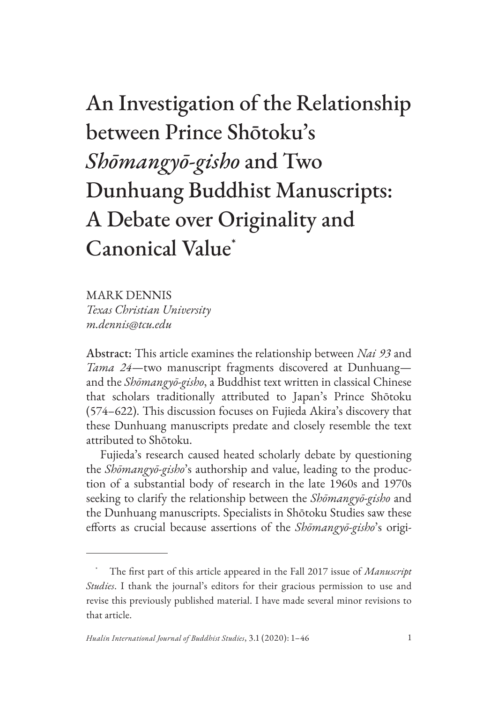# An Investigation of the Relationship between Prince Shōtoku's *Shōmangyō-gisho* and Two Dunhuang Buddhist Manuscripts: A Debate over Originality and Canonical Value\*

MARK DENNIS *Texas Christian University m.dennis@tcu.edu*

Abstract: This article examines the relationship between *Nai 93* and *Tama 24*—two manuscript fragments discovered at Dunhuang and the *Shōmangyō-gisho*, a Buddhist text written in classical Chinese that scholars traditionally attributed to Japan's Prince Shōtoku (574–622). This discussion focuses on Fujieda Akira's discovery that these Dunhuang manuscripts predate and closely resemble the text attributed to Shōtoku.

Fujieda's research caused heated scholarly debate by questioning the *Shōmangyō-gisho*'s authorship and value, leading to the production of a substantial body of research in the late 1960s and 1970s seeking to clarify the relationship between the *Shōmangyō-gisho* and the Dunhuang manuscripts. Specialists in Shōtoku Studies saw these efforts as crucial because assertions of the *Shōmangyō-gisho*'s origi-

<sup>\*</sup> The first part of this article appeared in the Fall 2017 issue of *Manuscript Studies*. I thank the journal's editors for their gracious permission to use and revise this previously published material. I have made several minor revisions to that article.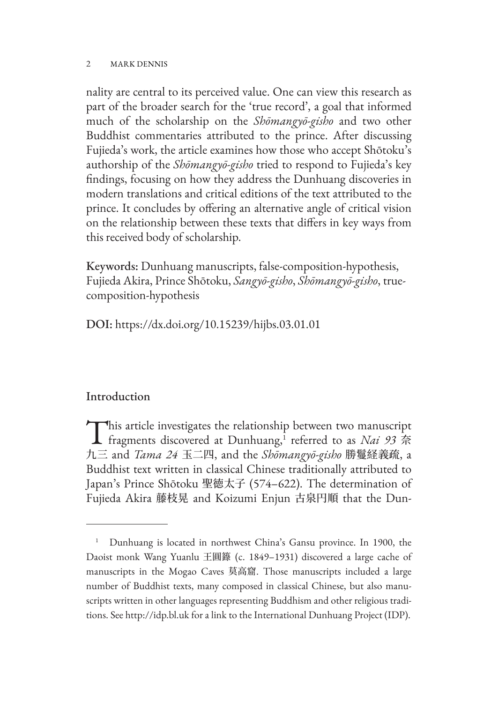nality are central to its perceived value. One can view this research as part of the broader search for the 'true record', a goal that informed much of the scholarship on the *Shōmangyō-gisho* and two other Buddhist commentaries attributed to the prince. After discussing Fujieda's work, the article examines how those who accept Shōtoku's authorship of the *Shōmangyō-gisho* tried to respond to Fujieda's key findings, focusing on how they address the Dunhuang discoveries in modern translations and critical editions of the text attributed to the prince. It concludes by offering an alternative angle of critical vision on the relationship between these texts that differs in key ways from this received body of scholarship.

Keywords: Dunhuang manuscripts, false-composition-hypothesis, Fujieda Akira, Prince Shōtoku, *Sangyō-gisho*, *Shōmangyō-gisho*, truecomposition-hypothesis

DOI: https://dx.doi.org/10.15239/hijbs.03.01.01

# Introduction

This article investigates the relationship between two manuscript<br>fragments discovered at Dunhuang,<sup>1</sup> referred to as *Nai* 93 奈 九三 and *Tama 24* 玉二四, and the *Shōmangyō-gisho* 勝鬘経義疏, a Buddhist text written in classical Chinese traditionally attributed to Japan's Prince Shōtoku 聖徳太子 (574–622). The determination of Fujieda Akira 藤枝晃 and Koizumi Enjun 古泉円順 that the Dun-

<sup>1</sup> Dunhuang is located in northwest China's Gansu province. In 1900, the Daoist monk Wang Yuanlu 王圓籙 (c. 1849–1931) discovered a large cache of manuscripts in the Mogao Caves 莫高窟. Those manuscripts included a large number of Buddhist texts, many composed in classical Chinese, but also manuscripts written in other languages representing Buddhism and other religious traditions. See http://idp.bl.uk for a link to the International Dunhuang Project (IDP).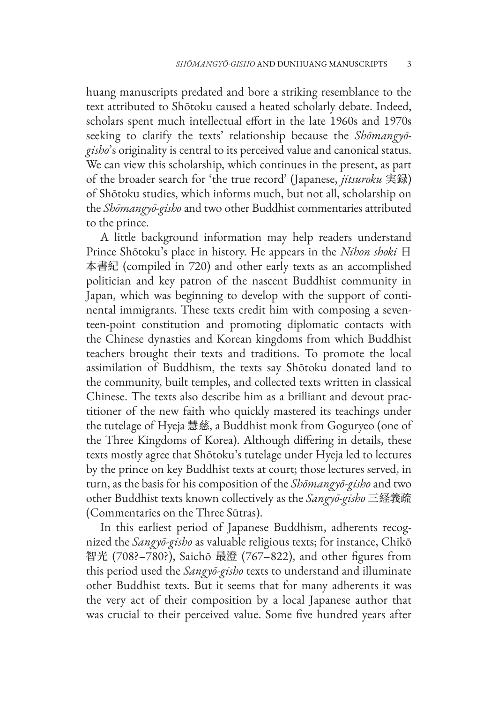huang manuscripts predated and bore a striking resemblance to the text attributed to Shōtoku caused a heated scholarly debate. Indeed, scholars spent much intellectual effort in the late 1960s and 1970s seeking to clarify the texts' relationship because the *Shōmangyōgisho*'s originality is central to its perceived value and canonical status. We can view this scholarship, which continues in the present, as part of the broader search for 'the true record' (Japanese, *jitsuroku* 実録) of Shōtoku studies, which informs much, but not all, scholarship on the *Shōmangyō-gisho* and two other Buddhist commentaries attributed to the prince.

A little background information may help readers understand Prince Shōtoku's place in history. He appears in the *Nihon shoki* 日 本書紀 (compiled in 720) and other early texts as an accomplished politician and key patron of the nascent Buddhist community in Japan, which was beginning to develop with the support of continental immigrants. These texts credit him with composing a seventeen-point constitution and promoting diplomatic contacts with the Chinese dynasties and Korean kingdoms from which Buddhist teachers brought their texts and traditions. To promote the local assimilation of Buddhism, the texts say Shōtoku donated land to the community, built temples, and collected texts written in classical Chinese. The texts also describe him as a brilliant and devout practitioner of the new faith who quickly mastered its teachings under the tutelage of Hyeja 慧慈, a Buddhist monk from Goguryeo (one of the Three Kingdoms of Korea). Although differing in details, these texts mostly agree that Shōtoku's tutelage under Hyeja led to lectures by the prince on key Buddhist texts at court; those lectures served, in turn, as the basis for his composition of the *Shōmangyō-gisho* and two other Buddhist texts known collectively as the *Sangyō-gisho* 三経義疏 (Commentaries on the Three Sūtras).

In this earliest period of Japanese Buddhism, adherents recognized the *Sangyō-gisho* as valuable religious texts; for instance, Chikō 智光 (708?–780?), Saichō 最澄 (767–822), and other figures from this period used the *Sangyō-gisho* texts to understand and illuminate other Buddhist texts. But it seems that for many adherents it was the very act of their composition by a local Japanese author that was crucial to their perceived value. Some five hundred years after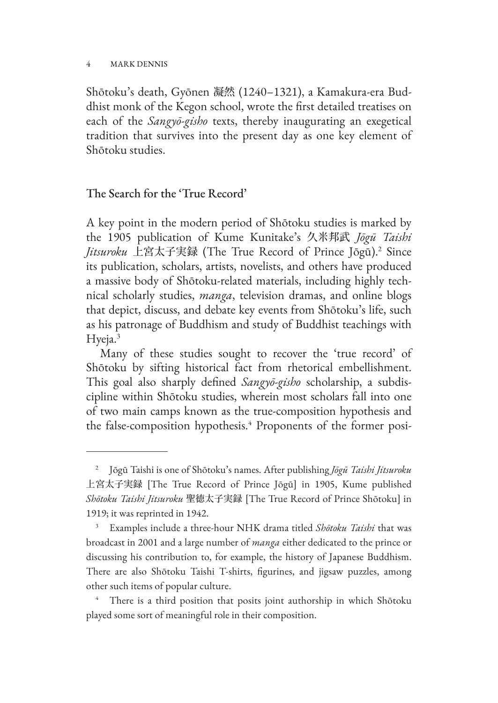Shōtoku's death, Gyōnen 凝然 (1240–1321), a Kamakura-era Buddhist monk of the Kegon school, wrote the first detailed treatises on each of the *Sangyō-gisho* texts, thereby inaugurating an exegetical tradition that survives into the present day as one key element of Shōtoku studies.

# The Search for the 'True Record'

A key point in the modern period of Shōtoku studies is marked by the 1905 publication of Kume Kunitake's 久米邦武 *Jōgū Taishi Jitsuroku* 上宮太子実録 (The True Record of Prince Jōgū).2 Since its publication, scholars, artists, novelists, and others have produced a massive body of Shōtoku-related materials, including highly technical scholarly studies, *manga*, television dramas, and online blogs that depict, discuss, and debate key events from Shōtoku's life, such as his patronage of Buddhism and study of Buddhist teachings with Hyeja.<sup>3</sup>

Many of these studies sought to recover the 'true record' of Shōtoku by sifting historical fact from rhetorical embellishment. This goal also sharply defined *Sangyō-gisho* scholarship, a subdiscipline within Shōtoku studies, wherein most scholars fall into one of two main camps known as the true-composition hypothesis and the false-composition hypothesis.4 Proponents of the former posi-

<sup>2</sup> Jōgū Taishi is one of Shōtoku's names. After publishing *Jōgū Taishi Jitsuroku* 上宮太子実録 [The True Record of Prince Jōgū] in 1905, Kume published *Shōtoku Taishi Jitsuroku* 聖徳太子実録 [The True Record of Prince Shōtoku] in 1919; it was reprinted in 1942.

<sup>3</sup> Examples include a three-hour NHK drama titled *Shōtoku Taishi* that was broadcast in 2001 and a large number of *manga* either dedicated to the prince or discussing his contribution to, for example, the history of Japanese Buddhism. There are also Shōtoku Taishi T-shirts, figurines, and jigsaw puzzles, among other such items of popular culture.

There is a third position that posits joint authorship in which Shōtoku played some sort of meaningful role in their composition.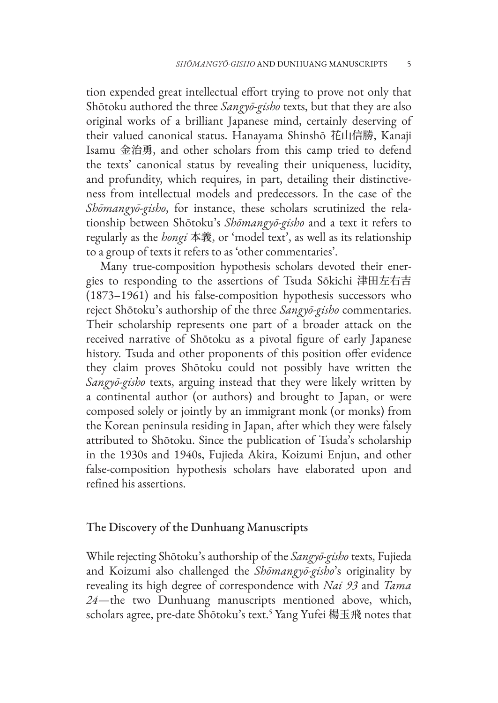tion expended great intellectual effort trying to prove not only that Shōtoku authored the three *Sangyō-gisho* texts, but that they are also original works of a brilliant Japanese mind, certainly deserving of their valued canonical status. Hanayama Shinshō 花山信勝, Kanaji Isamu 金治勇, and other scholars from this camp tried to defend the texts' canonical status by revealing their uniqueness, lucidity, and profundity, which requires, in part, detailing their distinctiveness from intellectual models and predecessors. In the case of the *Shōmangyō-gisho*, for instance, these scholars scrutinized the relationship between Shōtoku's *Shōmangyō-gisho* and a text it refers to regularly as the *hongi* 本義, or 'model text', as well as its relationship to a group of texts it refers to as 'other commentaries'.

Many true-composition hypothesis scholars devoted their energies to responding to the assertions of Tsuda Sōkichi 津田左右吉 (1873–1961) and his false-composition hypothesis successors who reject Shōtoku's authorship of the three *Sangyō-gisho* commentaries. Their scholarship represents one part of a broader attack on the received narrative of Shōtoku as a pivotal figure of early Japanese history. Tsuda and other proponents of this position offer evidence they claim proves Shōtoku could not possibly have written the *Sangyō-gisho* texts, arguing instead that they were likely written by a continental author (or authors) and brought to Japan, or were composed solely or jointly by an immigrant monk (or monks) from the Korean peninsula residing in Japan, after which they were falsely attributed to Shōtoku. Since the publication of Tsuda's scholarship in the 1930s and 1940s, Fujieda Akira, Koizumi Enjun, and other false-composition hypothesis scholars have elaborated upon and refined his assertions.

### The Discovery of the Dunhuang Manuscripts

While rejecting Shōtoku's authorship of the *Sangyō-gisho* texts, Fujieda and Koizumi also challenged the *Shōmangyō-gisho*'s originality by revealing its high degree of correspondence with *Nai 93* and *Tama 24*—the two Dunhuang manuscripts mentioned above, which, scholars agree, pre-date Shōtoku's text.<sup>5</sup> Yang Yufei 楊玉飛 notes that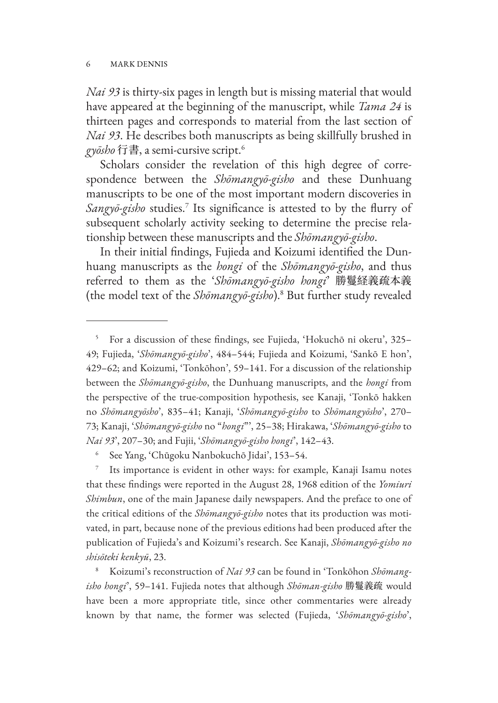*Nai 93* is thirty-six pages in length but is missing material that would have appeared at the beginning of the manuscript, while *Tama 24* is thirteen pages and corresponds to material from the last section of *Nai 93*. He describes both manuscripts as being skillfully brushed in *gyōsho* 行書, a semi-cursive script.6

Scholars consider the revelation of this high degree of correspondence between the *Shōmangyō-gisho* and these Dunhuang manuscripts to be one of the most important modern discoveries in *Sangyō-gisho* studies.7 Its significance is attested to by the flurry of subsequent scholarly activity seeking to determine the precise relationship between these manuscripts and the *Shōmangyō-gisho*.

In their initial findings, Fujieda and Koizumi identified the Dunhuang manuscripts as the *hongi* of the *Shōmangyō-gisho*, and thus referred to them as the '*Shōmangyō-gisho hongi*' 勝鬘経義疏本義 (the model text of the *Shōmangyō-gisho*).8 But further study revealed

<sup>5</sup> For a discussion of these findings, see Fujieda, 'Hokuchō ni okeru', 325– 49; Fujieda, '*Shōmangyō-gisho*', 484–544; Fujieda and Koizumi, 'Sankō E hon', 429–62; and Koizumi, 'Tonkōhon', 59–141. For a discussion of the relationship between the *Shōmangyō-gisho*, the Dunhuang manuscripts, and the *hongi* from the perspective of the true-composition hypothesis, see Kanaji, 'Tonkō hakken no *Shōmangyōsho*', 835–41; Kanaji, '*Shōmangyō-gisho* to *Shōmangyōsho*', 270– 73; Kanaji, '*Shōmangyō-gisho* no "*hongi*"', 25–38; Hirakawa, '*Shōmangyō-gisho* to *Nai 93*', 207–30; and Fujii, '*Shōmangyō-gisho hongi*', 142–43.

<sup>6</sup> See Yang, 'Chūgoku Nanbokuchō Jidai', 153–54.

Its importance is evident in other ways: for example, Kanaji Isamu notes that these findings were reported in the August 28, 1968 edition of the *Yomiuri Shimbun*, one of the main Japanese daily newspapers. And the preface to one of the critical editions of the *Shōmangyō-gisho* notes that its production was motivated, in part, because none of the previous editions had been produced after the publication of Fujieda's and Koizumi's research. See Kanaji, *Shōmangyō-gisho no shisōteki kenkyū*, 23.

<sup>8</sup> Koizumi's reconstruction of *Nai 93* can be found in 'Tonkōhon *Shōmangisho hongi*', 59–141. Fujieda notes that although *Shōman-gisho* 勝鬘義疏 would have been a more appropriate title, since other commentaries were already known by that name, the former was selected (Fujieda, '*Shōmangyō-gisho*',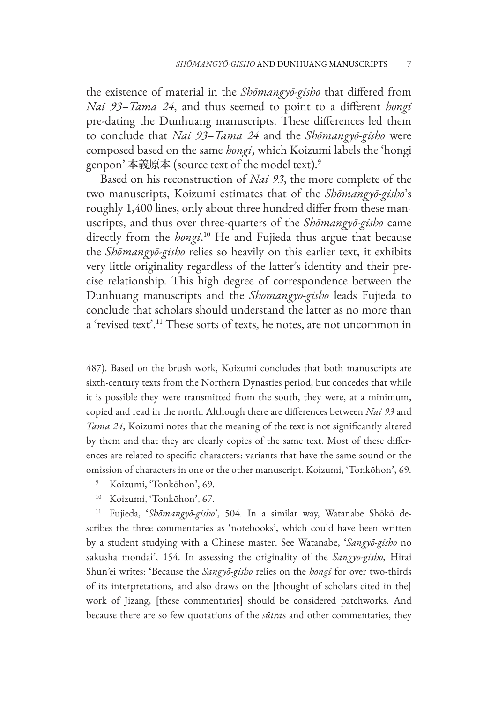the existence of material in the *Shōmangyō-gisho* that differed from *Nai 93*–*Tama 24*, and thus seemed to point to a different *hongi* pre-dating the Dunhuang manuscripts. These differences led them to conclude that *Nai 93*–*Tama 24* and the *Shōmangyō-gisho* were composed based on the same *hongi*, which Koizumi labels the 'hongi genpon' 本義原本 (source text of the model text).<sup>9</sup>

Based on his reconstruction of *Nai 93*, the more complete of the two manuscripts, Koizumi estimates that of the *Shōmangyō-gisho*'s roughly 1,400 lines, only about three hundred differ from these manuscripts, and thus over three-quarters of the *Shōmangyō-gisho* came directly from the *hongi*. 10 He and Fujieda thus argue that because the *Shōmangyō-gisho* relies so heavily on this earlier text, it exhibits very little originality regardless of the latter's identity and their precise relationship. This high degree of correspondence between the Dunhuang manuscripts and the *Shōmangyō-gisho* leads Fujieda to conclude that scholars should understand the latter as no more than a 'revised text'.11 These sorts of texts, he notes, are not uncommon in

- <sup>9</sup> Koizumi, 'Tonkōhon', 69.
- <sup>10</sup> Koizumi, 'Tonkōhon', 67.

<sup>11</sup> Fujieda, '*Shōmangyō-gisho*', 504. In a similar way, Watanabe Shōkō describes the three commentaries as 'notebooks', which could have been written by a student studying with a Chinese master. See Watanabe, '*Sangyō-gisho* no sakusha mondai', 154. In assessing the originality of the *Sangyō-gisho*, Hirai Shun'ei writes: 'Because the *Sangyō-gisho* relies on the *hongi* for over two-thirds of its interpretations, and also draws on the [thought of scholars cited in the] work of Jizang, [these commentaries] should be considered patchworks. And because there are so few quotations of the *sūtra*s and other commentaries, they

<sup>487).</sup> Based on the brush work, Koizumi concludes that both manuscripts are sixth-century texts from the Northern Dynasties period, but concedes that while it is possible they were transmitted from the south, they were, at a minimum, copied and read in the north. Although there are differences between *Nai 93* and *Tama 24*, Koizumi notes that the meaning of the text is not significantly altered by them and that they are clearly copies of the same text. Most of these differences are related to specific characters: variants that have the same sound or the omission of characters in one or the other manuscript. Koizumi, 'Tonkōhon', 69.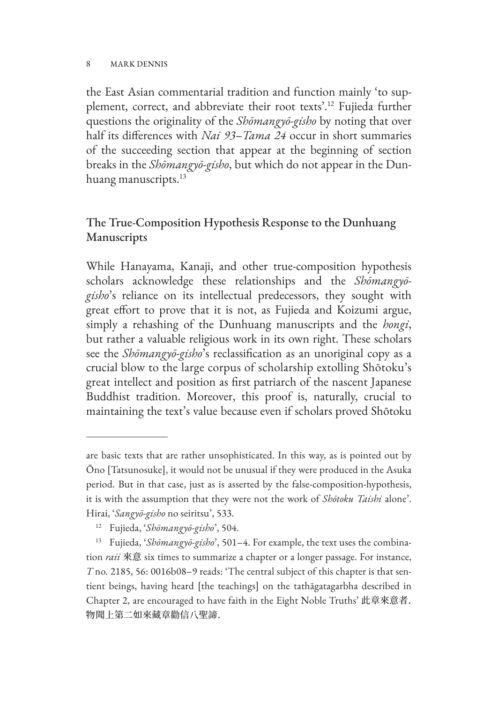the East Asian commentarial tradition and function mainly 'to supplement, correct, and abbreviate their root texts'.12 Fujieda further questions the originality of the *Shōmangyō-gisho* by noting that over half its differences with *Nai 93*–*Tama 24* occur in short summaries of the succeeding section that appear at the beginning of section breaks in the *Shōmangyō-gisho*, but which do not appear in the Dunhuang manuscripts.<sup>13</sup>

# The True-Composition Hypothesis Response to the Dunhuang Manuscripts

While Hanayama, Kanaji, and other true-composition hypothesis scholars acknowledge these relationships and the *Shōmangyōgisho*'s reliance on its intellectual predecessors, they sought with great effort to prove that it is not, as Fujieda and Koizumi argue, simply a rehashing of the Dunhuang manuscripts and the *hongi*, but rather a valuable religious work in its own right. These scholars see the *Shōmangyō-gisho*'s reclassification as an unoriginal copy as a crucial blow to the large corpus of scholarship extolling Shōtoku's great intellect and position as first patriarch of the nascent Japanese Buddhist tradition. Moreover, this proof is, naturally, crucial to maintaining the text's value because even if scholars proved Shōtoku

are basic texts that are rather unsophisticated. In this way, as is pointed out by Ōno [Tatsunosuke], it would not be unusual if they were produced in the Asuka period. But in that case, just as is asserted by the false-composition-hypothesis, it is with the assumption that they were not the work of *Shōtoku Taishi* alone'. Hirai, '*Sangyō-gisho* no seiritsu', 533.

<sup>12</sup> Fujieda, '*Shōmangyō-gisho*', 504.

<sup>13</sup> Fujieda, '*Shōmangyō-gisho*', 501–4. For example, the text uses the combination *raii* 來意 six times to summarize a chapter or a longer passage. For instance, *T* no. 2185, 56: 0016b08–9 reads: 'The central subject of this chapter is that sentient beings, having heard [the teachings] on the tathāgatagarbha described in Chapter 2, are encouraged to have faith in the Eight Noble Truths' 此章來意者. 物聞上第二如來藏章勸信八聖諦.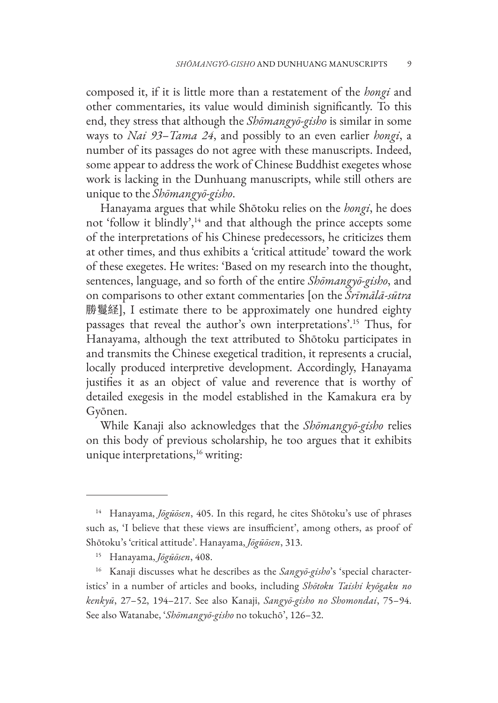composed it, if it is little more than a restatement of the *hongi* and other commentaries, its value would diminish significantly. To this end, they stress that although the *Shōmangyō-gisho* is similar in some ways to *Nai 93*–*Tama 24*, and possibly to an even earlier *hongi*, a number of its passages do not agree with these manuscripts. Indeed, some appear to address the work of Chinese Buddhist exegetes whose work is lacking in the Dunhuang manuscripts, while still others are unique to the *Shōmangyō-gisho*.

Hanayama argues that while Shōtoku relies on the *hongi*, he does not 'follow it blindly',<sup>14</sup> and that although the prince accepts some of the interpretations of his Chinese predecessors, he criticizes them at other times, and thus exhibits a 'critical attitude' toward the work of these exegetes. He writes: 'Based on my research into the thought, sentences, language, and so forth of the entire *Shōmangyō-gisho*, and on comparisons to other extant commentaries [on the *Śrīmālā-sūtra* 勝鬘経], I estimate there to be approximately one hundred eighty passages that reveal the author's own interpretations'.15 Thus, for Hanayama, although the text attributed to Shōtoku participates in and transmits the Chinese exegetical tradition, it represents a crucial, locally produced interpretive development. Accordingly, Hanayama justifies it as an object of value and reverence that is worthy of detailed exegesis in the model established in the Kamakura era by Gyōnen.

While Kanaji also acknowledges that the *Shōmangyō-gisho* relies on this body of previous scholarship, he too argues that it exhibits unique interpretations, $16$  writing:

<sup>14</sup> Hanayama, *Jōgūōsen*, 405. In this regard, he cites Shōtoku's use of phrases such as, 'I believe that these views are insufficient', among others, as proof of Shōtoku's 'critical attitude'. Hanayama, *Jōgūōsen*, 313.

<sup>15</sup> Hanayama, *Jōgūōsen*, 408.

<sup>16</sup> Kanaji discusses what he describes as the *Sangyō-gisho*'s 'special characteristics' in a number of articles and books, including *Shōtoku Taishi kyōgaku no kenkyū*, 27–52, 194–217. See also Kanaji, *Sangyō-gisho no Shomondai*, 75–94. See also Watanabe, '*Shōmangyō-gisho* no tokuchō', 126–32.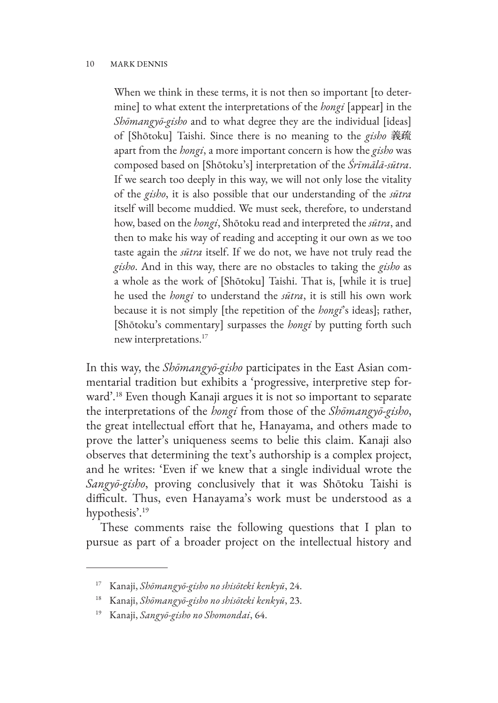When we think in these terms, it is not then so important [to determine] to what extent the interpretations of the *hongi* [appear] in the *Shōmangyō-gisho* and to what degree they are the individual [ideas] of [Shōtoku] Taishi. Since there is no meaning to the *gisho* 義疏 apart from the *hongi*, a more important concern is how the *gisho* was composed based on [Shōtoku's] interpretation of the *Śrīmālā-sūtra*. If we search too deeply in this way, we will not only lose the vitality of the *gisho*, it is also possible that our understanding of the *sūtra* itself will become muddied. We must seek, therefore, to understand how, based on the *hongi*, Shōtoku read and interpreted the *sūtra*, and then to make his way of reading and accepting it our own as we too taste again the *sūtra* itself. If we do not, we have not truly read the *gisho*. And in this way, there are no obstacles to taking the *gisho* as a whole as the work of [Shōtoku] Taishi. That is, [while it is true] he used the *hongi* to understand the *sūtra*, it is still his own work because it is not simply [the repetition of the *hongi*'s ideas]; rather, [Shōtoku's commentary] surpasses the *hongi* by putting forth such new interpretations.17

In this way, the *Shōmangyō-gisho* participates in the East Asian commentarial tradition but exhibits a 'progressive, interpretive step forward'.18 Even though Kanaji argues it is not so important to separate the interpretations of the *hongi* from those of the *Shōmangyō-gisho*, the great intellectual effort that he, Hanayama, and others made to prove the latter's uniqueness seems to belie this claim. Kanaji also observes that determining the text's authorship is a complex project, and he writes: 'Even if we knew that a single individual wrote the *Sangyō-gisho*, proving conclusively that it was Shōtoku Taishi is difficult. Thus, even Hanayama's work must be understood as a hypothesis'.<sup>19</sup>

These comments raise the following questions that I plan to pursue as part of a broader project on the intellectual history and

<sup>17</sup> Kanaji, *Shōmangyō-gisho no shisōteki kenkyū*, 24.

<sup>18</sup> Kanaji, *Shōmangyō-gisho no shisōteki kenkyū*, 23.

<sup>19</sup> Kanaji, *Sangyō-gisho no Shomondai*, 64.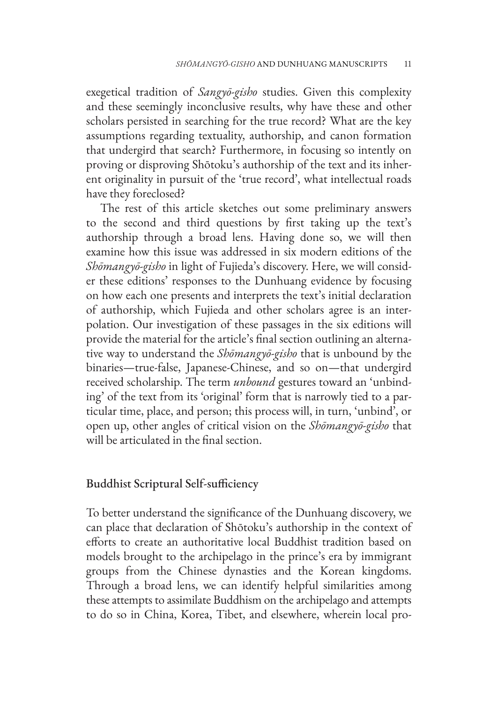exegetical tradition of *Sangyō-gisho* studies. Given this complexity and these seemingly inconclusive results, why have these and other scholars persisted in searching for the true record? What are the key assumptions regarding textuality, authorship, and canon formation that undergird that search? Furthermore, in focusing so intently on proving or disproving Shōtoku's authorship of the text and its inherent originality in pursuit of the 'true record', what intellectual roads have they foreclosed?

The rest of this article sketches out some preliminary answers to the second and third questions by first taking up the text's authorship through a broad lens. Having done so, we will then examine how this issue was addressed in six modern editions of the *Shōmangyō-gisho* in light of Fujieda's discovery. Here, we will consider these editions' responses to the Dunhuang evidence by focusing on how each one presents and interprets the text's initial declaration of authorship, which Fujieda and other scholars agree is an interpolation. Our investigation of these passages in the six editions will provide the material for the article's final section outlining an alternative way to understand the *Shōmangyō-gisho* that is unbound by the binaries—true-false, Japanese-Chinese, and so on—that undergird received scholarship. The term *unbound* gestures toward an 'unbinding' of the text from its 'original' form that is narrowly tied to a particular time, place, and person; this process will, in turn, 'unbind', or open up, other angles of critical vision on the *Shōmangyō-gisho* that will be articulated in the final section.

### Buddhist Scriptural Self-sufficiency

To better understand the significance of the Dunhuang discovery, we can place that declaration of Shōtoku's authorship in the context of efforts to create an authoritative local Buddhist tradition based on models brought to the archipelago in the prince's era by immigrant groups from the Chinese dynasties and the Korean kingdoms. Through a broad lens, we can identify helpful similarities among these attempts to assimilate Buddhism on the archipelago and attempts to do so in China, Korea, Tibet, and elsewhere, wherein local pro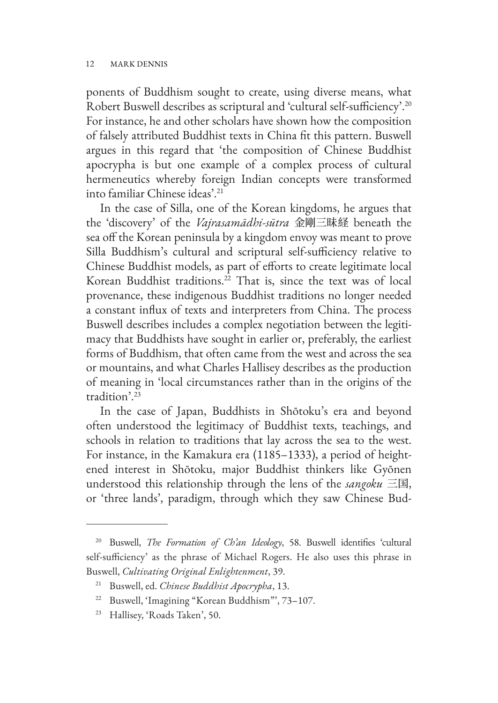ponents of Buddhism sought to create, using diverse means, what Robert Buswell describes as scriptural and 'cultural self-sufficiency'.20 For instance, he and other scholars have shown how the composition of falsely attributed Buddhist texts in China fit this pattern. Buswell argues in this regard that 'the composition of Chinese Buddhist apocrypha is but one example of a complex process of cultural hermeneutics whereby foreign Indian concepts were transformed into familiar Chinese ideas'.21

In the case of Silla, one of the Korean kingdoms, he argues that the 'discovery' of the *Vajrasamādhi-sūtra* 金剛三昧経 beneath the sea off the Korean peninsula by a kingdom envoy was meant to prove Silla Buddhism's cultural and scriptural self-sufficiency relative to Chinese Buddhist models, as part of efforts to create legitimate local Korean Buddhist traditions.<sup>22</sup> That is, since the text was of local provenance, these indigenous Buddhist traditions no longer needed a constant influx of texts and interpreters from China. The process Buswell describes includes a complex negotiation between the legitimacy that Buddhists have sought in earlier or, preferably, the earliest forms of Buddhism, that often came from the west and across the sea or mountains, and what Charles Hallisey describes as the production of meaning in 'local circumstances rather than in the origins of the tradition'.23

In the case of Japan, Buddhists in Shōtoku's era and beyond often understood the legitimacy of Buddhist texts, teachings, and schools in relation to traditions that lay across the sea to the west. For instance, in the Kamakura era (1185–1333), a period of heightened interest in Shōtoku, major Buddhist thinkers like Gyōnen understood this relationship through the lens of the *sangoku* 三国, or 'three lands', paradigm, through which they saw Chinese Bud-

<sup>22</sup> Buswell, 'Imagining "Korean Buddhism"', 73–107.

<sup>20</sup> Buswell, *The Formation of Ch'an Ideology*, 58. Buswell identifies 'cultural self-sufficiency' as the phrase of Michael Rogers. He also uses this phrase in Buswell, *Cultivating Original Enlightenment*, 39.

<sup>21</sup> Buswell, ed. *Chinese Buddhist Apocrypha*, 13.

<sup>23</sup> Hallisey, 'Roads Taken', 50.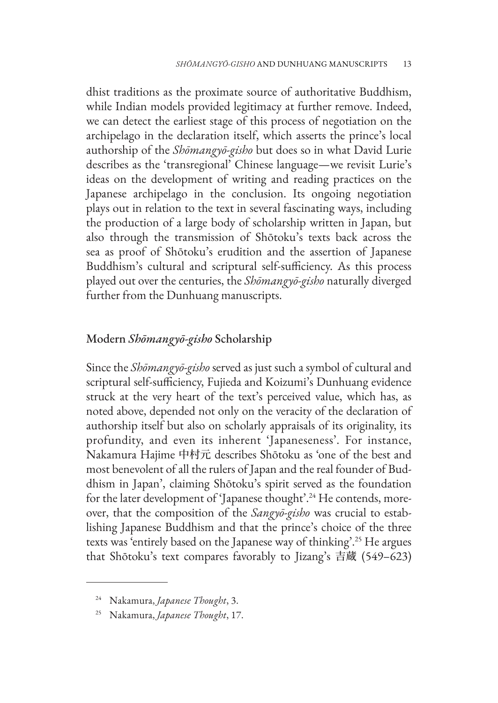dhist traditions as the proximate source of authoritative Buddhism, while Indian models provided legitimacy at further remove. Indeed, we can detect the earliest stage of this process of negotiation on the archipelago in the declaration itself, which asserts the prince's local authorship of the *Shōmangyō-gisho* but does so in what David Lurie describes as the 'transregional' Chinese language—we revisit Lurie's ideas on the development of writing and reading practices on the Japanese archipelago in the conclusion. Its ongoing negotiation plays out in relation to the text in several fascinating ways, including the production of a large body of scholarship written in Japan, but also through the transmission of Shōtoku's texts back across the sea as proof of Shōtoku's erudition and the assertion of Japanese Buddhism's cultural and scriptural self-sufficiency. As this process played out over the centuries, the *Shōmangyō-gisho* naturally diverged further from the Dunhuang manuscripts.

### Modern *Shōmangyō-gisho* Scholarship

Since the *Shōmangyō-gisho* served as just such a symbol of cultural and scriptural self-sufficiency, Fujieda and Koizumi's Dunhuang evidence struck at the very heart of the text's perceived value, which has, as noted above, depended not only on the veracity of the declaration of authorship itself but also on scholarly appraisals of its originality, its profundity, and even its inherent 'Japaneseness'. For instance, Nakamura Hajime 中村元 describes Shōtoku as 'one of the best and most benevolent of all the rulers of Japan and the real founder of Buddhism in Japan', claiming Shōtoku's spirit served as the foundation for the later development of 'Japanese thought'.<sup>24</sup> He contends, moreover, that the composition of the *Sangyō-gisho* was crucial to establishing Japanese Buddhism and that the prince's choice of the three texts was 'entirely based on the Japanese way of thinking'.25 He argues that Shōtoku's text compares favorably to Jizang's 吉蔵 (549–623)

<sup>24</sup> Nakamura, *Japanese Thought*, 3.

<sup>25</sup> Nakamura, *Japanese Thought*, 17.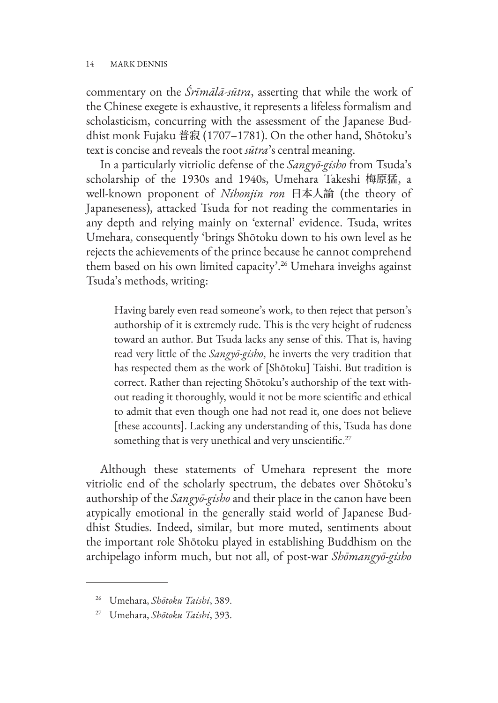commentary on the *Śrīmālā-sūtra*, asserting that while the work of the Chinese exegete is exhaustive, it represents a lifeless formalism and scholasticism, concurring with the assessment of the Japanese Buddhist monk Fujaku 普寂 (1707–1781). On the other hand, Shōtoku's text is concise and reveals the root *sūtra*'s central meaning.

In a particularly vitriolic defense of the *Sangyō-gisho* from Tsuda's scholarship of the 1930s and 1940s, Umehara Takeshi 梅原猛, a well-known proponent of *Nihonjin ron* 日本人論 (the theory of Japaneseness), attacked Tsuda for not reading the commentaries in any depth and relying mainly on 'external' evidence. Tsuda, writes Umehara, consequently 'brings Shōtoku down to his own level as he rejects the achievements of the prince because he cannot comprehend them based on his own limited capacity'.26 Umehara inveighs against Tsuda's methods, writing:

Having barely even read someone's work, to then reject that person's authorship of it is extremely rude. This is the very height of rudeness toward an author. But Tsuda lacks any sense of this. That is, having read very little of the *Sangyō-gisho*, he inverts the very tradition that has respected them as the work of [Shōtoku] Taishi. But tradition is correct. Rather than rejecting Shōtoku's authorship of the text without reading it thoroughly, would it not be more scientific and ethical to admit that even though one had not read it, one does not believe [these accounts]. Lacking any understanding of this, Tsuda has done something that is very unethical and very unscientific.<sup>27</sup>

Although these statements of Umehara represent the more vitriolic end of the scholarly spectrum, the debates over Shōtoku's authorship of the *Sangyō-gisho* and their place in the canon have been atypically emotional in the generally staid world of Japanese Buddhist Studies. Indeed, similar, but more muted, sentiments about the important role Shōtoku played in establishing Buddhism on the archipelago inform much, but not all, of post-war *Shōmangyō-gisho*

<sup>26</sup> Umehara, *Shōtoku Taishi*, 389.

<sup>27</sup> Umehara, *Shōtoku Taishi*, 393.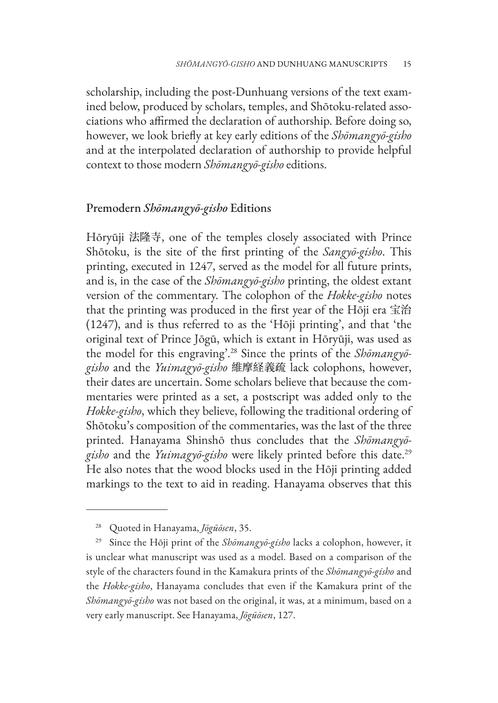scholarship, including the post-Dunhuang versions of the text examined below, produced by scholars, temples, and Shōtoku-related associations who affirmed the declaration of authorship. Before doing so, however, we look briefly at key early editions of the *Shōmangyō-gisho* and at the interpolated declaration of authorship to provide helpful context to those modern *Shōmangyō-gisho* editions.

### Premodern *Shōmangyō-gisho* Editions

Hōryūji 法隆寺, one of the temples closely associated with Prince Shōtoku, is the site of the first printing of the *Sangyō-gisho*. This printing, executed in 1247, served as the model for all future prints, and is, in the case of the *Shōmangyō-gisho* printing, the oldest extant version of the commentary. The colophon of the *Hokke-gisho* notes that the printing was produced in the first year of the Hōji era 宝治 (1247), and is thus referred to as the 'Hōji printing', and that 'the original text of Prince Jōgū, which is extant in Hōryūji, was used as the model for this engraving'.28 Since the prints of the *Shōmangyōgisho* and the *Yuimagyō-gisho* 維摩経義疏 lack colophons, however, their dates are uncertain. Some scholars believe that because the commentaries were printed as a set, a postscript was added only to the *Hokke-gisho*, which they believe, following the traditional ordering of Shōtoku's composition of the commentaries, was the last of the three printed. Hanayama Shinshō thus concludes that the *Shōmangyōgisho* and the *Yuimagyō-gisho* were likely printed before this date.29 He also notes that the wood blocks used in the Hōji printing added markings to the text to aid in reading. Hanayama observes that this

<sup>28</sup> Quoted in Hanayama, *Jōgūōsen*, 35.

<sup>29</sup> Since the Hōji print of the *Shōmangyō-gisho* lacks a colophon, however, it is unclear what manuscript was used as a model. Based on a comparison of the style of the characters found in the Kamakura prints of the *Shōmangyō-gisho* and the *Hokke-gisho*, Hanayama concludes that even if the Kamakura print of the *Shōmangyō-gisho* was not based on the original, it was, at a minimum, based on a very early manuscript. See Hanayama, *Jōgūōsen*, 127.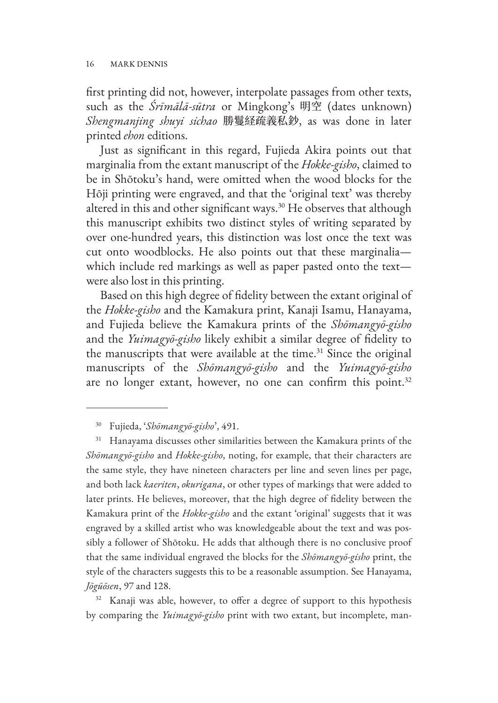first printing did not, however, interpolate passages from other texts, such as the *Śrīmālā-sūtra* or Mingkong's 明空 (dates unknown) *Shengmanjing shuyi sichao* 勝鬘経疏義私鈔, as was done in later printed *ehon* editions.

Just as significant in this regard, Fujieda Akira points out that marginalia from the extant manuscript of the *Hokke-gisho*, claimed to be in Shōtoku's hand, were omitted when the wood blocks for the Hōji printing were engraved, and that the 'original text' was thereby altered in this and other significant ways.30 He observes that although this manuscript exhibits two distinct styles of writing separated by over one-hundred years, this distinction was lost once the text was cut onto woodblocks. He also points out that these marginalia which include red markings as well as paper pasted onto the text were also lost in this printing.

Based on this high degree of fidelity between the extant original of the *Hokke-gisho* and the Kamakura print, Kanaji Isamu, Hanayama, and Fujieda believe the Kamakura prints of the *Shōmangyō-gisho* and the *Yuimagyō-gisho* likely exhibit a similar degree of fidelity to the manuscripts that were available at the time.<sup>31</sup> Since the original manuscripts of the *Shōmangyō-gisho* and the *Yuimagyō-gisho* are no longer extant, however, no one can confirm this point.<sup>32</sup>

<sup>32</sup> Kanaji was able, however, to offer a degree of support to this hypothesis by comparing the *Yuimagyō-gisho* print with two extant, but incomplete, man-

<sup>30</sup> Fujieda, '*Shōmangyō-gisho*', 491.

<sup>&</sup>lt;sup>31</sup> Hanayama discusses other similarities between the Kamakura prints of the *Shōmangyō-gisho* and *Hokke-gisho*, noting, for example, that their characters are the same style, they have nineteen characters per line and seven lines per page, and both lack *kaeriten*, *okurigana*, or other types of markings that were added to later prints. He believes, moreover, that the high degree of fidelity between the Kamakura print of the *Hokke-gisho* and the extant 'original' suggests that it was engraved by a skilled artist who was knowledgeable about the text and was possibly a follower of Shōtoku. He adds that although there is no conclusive proof that the same individual engraved the blocks for the *Shōmangyō-gisho* print, the style of the characters suggests this to be a reasonable assumption. See Hanayama, *Jōgūōsen*, 97 and 128.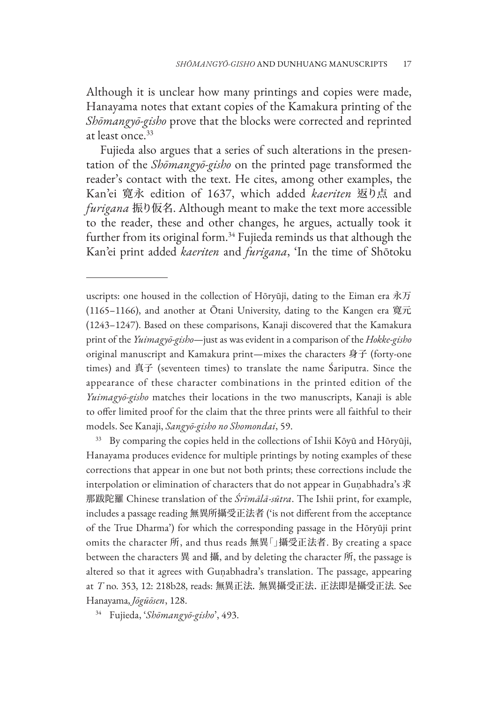Although it is unclear how many printings and copies were made, Hanayama notes that extant copies of the Kamakura printing of the *Shōmangyō-gisho* prove that the blocks were corrected and reprinted at least once.33

Fujieda also argues that a series of such alterations in the presentation of the *Shōmangyō-gisho* on the printed page transformed the reader's contact with the text. He cites, among other examples, the Kan'ei 寛永 edition of 1637, which added *kaeriten* 返り点 and *furigana* 振り仮名. Although meant to make the text more accessible to the reader, these and other changes, he argues, actually took it further from its original form.<sup>34</sup> Fujieda reminds us that although the Kan'ei print added *kaeriten* and *furigana*, 'In the time of Shōtoku

By comparing the copies held in the collections of Ishii Kōyū and Hōryūji, Hanayama produces evidence for multiple printings by noting examples of these corrections that appear in one but not both prints; these corrections include the interpolation or elimination of characters that do not appear in Guṇabhadra's 求 那跋陀羅 Chinese translation of the *Śrīmālā-sūtra*. The Ishii print, for example, includes a passage reading 無異所攝受正法者 ('is not different from the acceptance of the True Dharma') for which the corresponding passage in the Hōryūji print omits the character 所, and thus reads 無異「」攝受正法者. By creating a space between the characters 異 and 攝, and by deleting the character 所, the passage is altered so that it agrees with Guṇabhadra's translation. The passage, appearing at *T* no. 353, 12: 218b28, reads: 無異正法. 無異攝受正法. 正法即是攝受正法. See Hanayama, *Jōgūōsen*, 128.

<sup>34</sup> Fujieda, '*Shōmangyō-gisho*', 493.

uscripts: one housed in the collection of Hōryūji, dating to the Eiman era 永万 (1165–1166), and another at Ōtani University, dating to the Kangen era 寛元 (1243–1247). Based on these comparisons, Kanaji discovered that the Kamakura print of the *Yuimagyō-gisho*—just as was evident in a comparison of the *Hokke-gisho* original manuscript and Kamakura print—mixes the characters 身子 (forty-one times) and 真子 (seventeen times) to translate the name Śariputra. Since the appearance of these character combinations in the printed edition of the *Yuimagyō-gisho* matches their locations in the two manuscripts, Kanaji is able to offer limited proof for the claim that the three prints were all faithful to their models. See Kanaji, *Sangyō-gisho no Shomondai*, 59.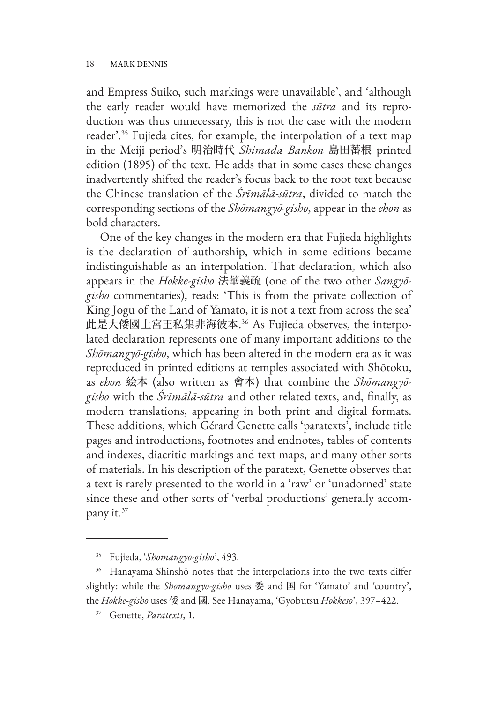and Empress Suiko, such markings were unavailable', and 'although the early reader would have memorized the *sūtra* and its reproduction was thus unnecessary, this is not the case with the modern reader'.35 Fujieda cites, for example, the interpolation of a text map in the Meiji period's 明治時代 *Shimada Bankon* 島田蕃根 printed edition (1895) of the text. He adds that in some cases these changes inadvertently shifted the reader's focus back to the root text because the Chinese translation of the *Śrīmālā-sūtra*, divided to match the corresponding sections of the *Shōmangyō-gisho*, appear in the *ehon* as bold characters.

One of the key changes in the modern era that Fujieda highlights is the declaration of authorship, which in some editions became indistinguishable as an interpolation. That declaration, which also appears in the *Hokke-gisho* 法華義疏 (one of the two other *Sangyōgisho* commentaries), reads: 'This is from the private collection of King Jōgū of the Land of Yamato, it is not a text from across the sea' 此是大倭國上宮王私集非海彼本. 36 As Fujieda observes, the interpolated declaration represents one of many important additions to the *Shōmangyō-gisho*, which has been altered in the modern era as it was reproduced in printed editions at temples associated with Shōtoku, as *ehon* 絵本 (also written as 會本) that combine the *Shōmangyōgisho* with the *Śrīmālā-sūtra* and other related texts, and, finally, as modern translations, appearing in both print and digital formats. These additions, which Gérard Genette calls 'paratexts', include title pages and introductions, footnotes and endnotes, tables of contents and indexes, diacritic markings and text maps, and many other sorts of materials. In his description of the paratext, Genette observes that a text is rarely presented to the world in a 'raw' or 'unadorned' state since these and other sorts of 'verbal productions' generally accompany it.37

<sup>35</sup> Fujieda, '*Shōmangyō-gisho*', 493.

<sup>&</sup>lt;sup>36</sup> Hanayama Shinshō notes that the interpolations into the two texts differ slightly: while the *Shōmangyō-gisho* uses 委 and 国 for 'Yamato' and 'country', the *Hokke-gisho* uses 倭 and 國. See Hanayama, 'Gyobutsu *Hokkeso*', 397–422.

<sup>37</sup> Genette, *Paratexts*, 1.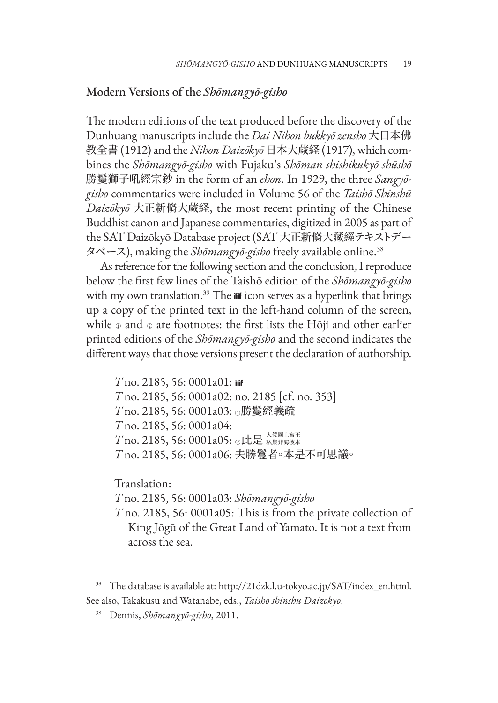### Modern Versions of the *Shōmangyō-gisho*

The modern editions of the text produced before the discovery of the Dunhuang manuscripts include the *Dai Nihon bukkyō zensho* 大日本佛 教全書 (1912) and the *Nihon Daizōkyō* 日本大蔵経 (1917), which combines the *Shōmangyō-gisho* with Fujaku's *Shōman shishikukyō shūshō* 勝鬘獅子吼經宗鈔 in the form of an *ehon*. In 1929, the three *Sangyōgisho* commentaries were included in Volume 56 of the *Taishō Shinshū Daizōkyō* 大正新脩大蔵経, the most recent printing of the Chinese Buddhist canon and Japanese commentaries, digitized in 2005 as part of the SAT Daizōkyō Database project (SAT 大正新脩大藏經テキストデー タベース), making the *Shōmangyō-gisho* freely available online.38

As reference for the following section and the conclusion, I reproduce below the first few lines of the Taishō edition of the *Shōmangyō-gisho* with my own translation.<sup>39</sup> The iit icon serves as a hyperlink that brings up a copy of the printed text in the left-hand column of the screen, while o and o are footnotes: the first lists the Hōji and other earlier printed editions of the *Shōmangyō-gisho* and the second indicates the different ways that those versions present the declaration of authorship.

*T* no. 2185, 56: 0001a01: *T* no. 2185, 56: 0001a02: no. 2185 [cf. no. 353] *T* no. 2185, 56: 0001a03: ○勝鬘經義疏 *T* no. 2185, 56: 0001a04: *T* no. 2185, 56: 0001a05: 2此是  $\frac{1}{\text{A}}$ *T* no. 2185, 56: 0001a06: 夫勝鬘者。本是不可思議。

Translation:

*T* no. 2185, 56: 0001a03: *Shōmangyō-gisho T* no. 2185, 56: 0001a05: This is from the private collection of

King Jōgū of the Great Land of Yamato. It is not a text from across the sea.

<sup>38</sup> The database is available at: http://21dzk.l.u-tokyo.ac.jp/SAT/index\_en.html. See also, Takakusu and Watanabe, eds., *Taishō shinshū Daizōkyō*.

<sup>39</sup> Dennis, *Shōmangyō-gisho*, 2011.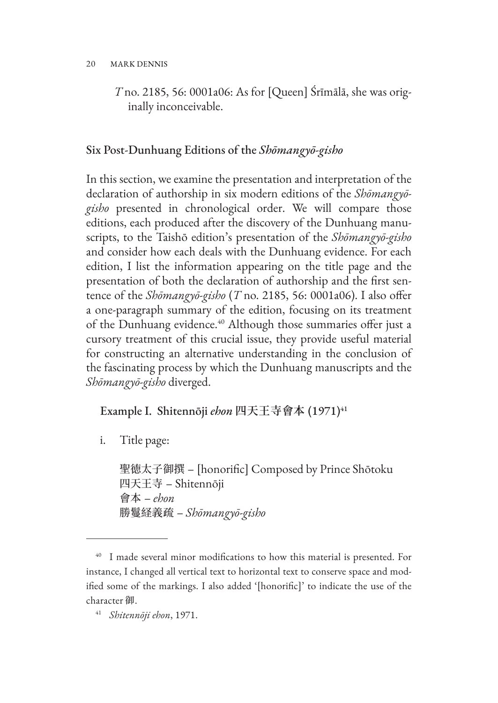*T* no. 2185, 56: 0001a06: As for [Queen] Śrīmālā, she was originally inconceivable.

### Six Post-Dunhuang Editions of the *Shōmangyō-gisho*

In this section, we examine the presentation and interpretation of the declaration of authorship in six modern editions of the *Shōmangyōgisho* presented in chronological order. We will compare those editions, each produced after the discovery of the Dunhuang manuscripts, to the Taishō edition's presentation of the *Shōmangyō-gisho* and consider how each deals with the Dunhuang evidence. For each edition, I list the information appearing on the title page and the presentation of both the declaration of authorship and the first sentence of the *Shōmangyō-gisho* (*T* no. 2185, 56: 0001a06). I also offer a one-paragraph summary of the edition, focusing on its treatment of the Dunhuang evidence.<sup>40</sup> Although those summaries offer just a cursory treatment of this crucial issue, they provide useful material for constructing an alternative understanding in the conclusion of the fascinating process by which the Dunhuang manuscripts and the *Shōmangyō-gisho* diverged.

Example I. Shitennōji *ehon* 四天王寺會本 (1971)<sup>41</sup>

i. Title page:

聖徳太子御撰 – [honorific] Composed by Prince Shōtoku 四天王寺 – Shitennōji 會本 – *ehon* 勝鬘経義疏 – *Shōmangyō-gisho*

<sup>&</sup>lt;sup>40</sup> I made several minor modifications to how this material is presented. For instance, I changed all vertical text to horizontal text to conserve space and modified some of the markings. I also added '[honorific]' to indicate the use of the character 御.

<sup>41</sup> *Shitennōji ehon*, 1971.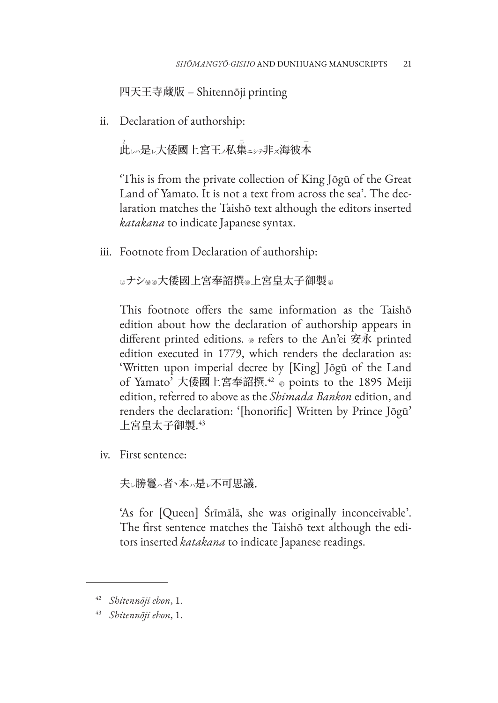四天王寺蔵版 – Shitennōji printing

ii. Declaration of authorship:

<u>。</u><br>此い是レ大倭國上宮王ノ私集ニシテ非<mark>ス海彼本</mark>

'This is from the private collection of King Jōgū of the Great Land of Yamato. It is not a text from across the sea'. The declaration matches the Taishō text although the editors inserted *katakana* to indicate Japanese syntax.

iii. Footnote from Declaration of authorship:

◎ナシ◎®大倭國上宮奉詔撰◎上宮皇太子御製◎

This footnote offers the same information as the Taishō edition about how the declaration of authorship appears in different printed editions.  $\circ$  refers to the An'ei 安永 printed edition executed in 1779, which renders the declaration as: 'Written upon imperial decree by [King] Jōgū of the Land of Yamato' 大倭國上宮奉詔撰.<del>''</del> ⊕ points to the 1895 Meiji edition, referred to above as the *Shimada Bankon* edition, and renders the declaration: '[honorific] Written by Prince Jōgū'  $\pm$ 宮皇太子御製. $^{43}$ 

iv. First sentence:

夫ル勝鬘ハ者、本、是レ不可思議.

'As for [Queen] Śrīmālā, she was originally inconceivable'. The first sentence matches the Taishō text although the editors inserted *katakana* to indicate Japanese readings.

<sup>42</sup> *Shitennōji ehon*, 1.

<sup>43</sup> *Shitennōji ehon*, 1.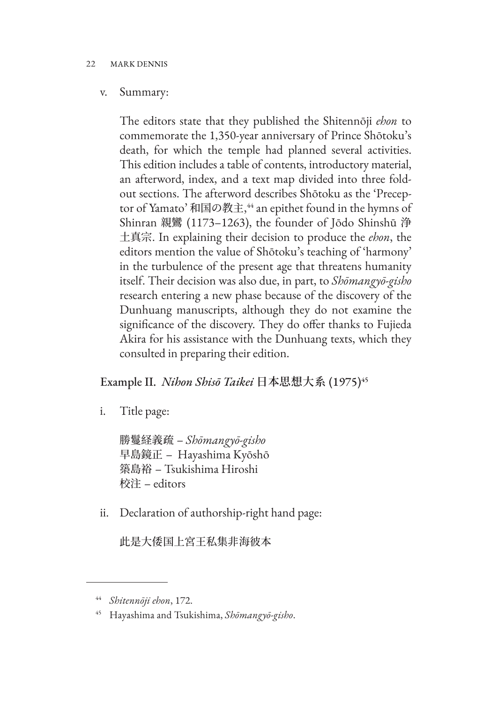### v. Summary:

The editors state that they published the Shitennōji *ehon* to commemorate the 1,350-year anniversary of Prince Shōtoku's death, for which the temple had planned several activities. This edition includes a table of contents, introductory material, an afterword, index, and a text map divided into three foldout sections. The afterword describes Shōtoku as the 'Preceptor of Yamato' 和国の教主, <sup>44</sup> an epithet found in the hymns of Shinran 親鸞 (1173–1263), the founder of Jōdo Shinshū 浄 土真宗. In explaining their decision to produce the *ehon*, the editors mention the value of Shōtoku's teaching of 'harmony' in the turbulence of the present age that threatens humanity itself. Their decision was also due, in part, to *Shōmangyō-gisho* research entering a new phase because of the discovery of the Dunhuang manuscripts, although they do not examine the significance of the discovery. They do offer thanks to Fujieda Akira for his assistance with the Dunhuang texts, which they consulted in preparing their edition.

### Example II. *Nihon Shisō Taikei* 日本思想大系 (1975)<sup>45</sup>

i. Title page:

勝鬘経義疏 – *Shōmangyō-gisho* 早島鏡正 – Hayashima Kyōshō 築島裕 – Tsukishima Hiroshi 校注 – editors

ii. Declaration of authorship-right hand page:

此是大倭国上宮王私集非海彼本

<sup>44</sup> *Shitennōji ehon*, 172.

<sup>45</sup> Hayashima and Tsukishima, *Shōmangyō-gisho*.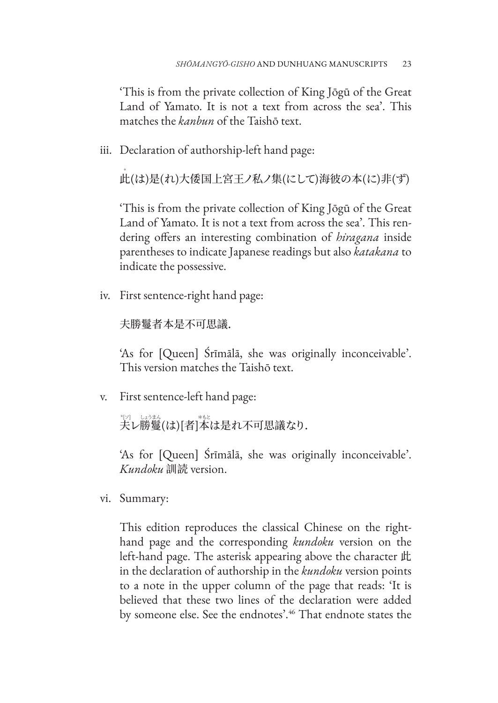'This is from the private collection of King Jōgū of the Great Land of Yamato. It is not a text from across the sea'. This matches the *kanbun* of the Taishō text.

iii. Declaration of authorship-left hand page:

.<br>此(は)是(れ)大倭国上宮王ノ私ノ集(にして)海彼の本(に)非(ず)

'This is from the private collection of King Jōgū of the Great Land of Yamato. It is not a text from across the sea'. This rendering offers an interesting combination of *hiragana* inside parentheses to indicate Japanese readings but also *katakana* to indicate the possessive.

iv. First sentence-right hand page:

夫勝鬘者本是不可思議.

'As for [Queen] Śrīmālā, she was originally inconceivable'. This version matches the Taishō text.

v. First sentence-left hand page:

ッ。<br>夫レ勝鬘(は)[者]本は是れ不可思議なり.

'As for [Queen] Śrīmālā, she was originally inconceivable'. *Kundoku* 訓読 version.

vi. Summary:

This edition reproduces the classical Chinese on the righthand page and the corresponding *kundoku* version on the left-hand page. The asterisk appearing above the character 此 in the declaration of authorship in the *kundoku* version points to a note in the upper column of the page that reads: 'It is believed that these two lines of the declaration were added by someone else. See the endnotes'.46 That endnote states the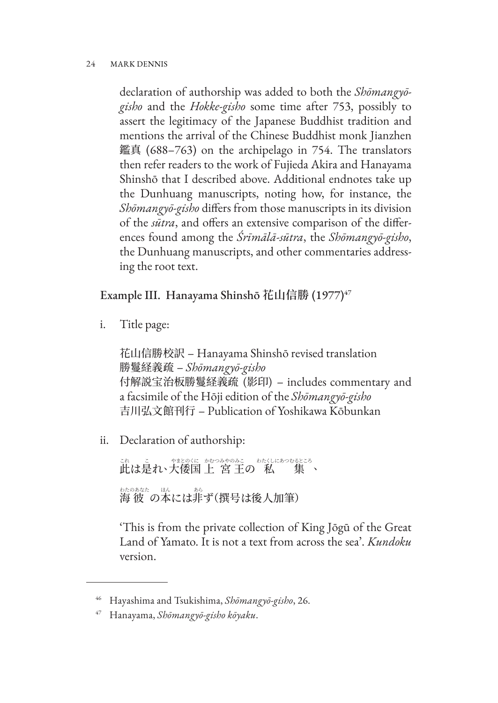declaration of authorship was added to both the *Shōmangyōgisho* and the *Hokke-gisho* some time after 753, possibly to assert the legitimacy of the Japanese Buddhist tradition and mentions the arrival of the Chinese Buddhist monk Jianzhen 鑑真 (688–763) on the archipelago in 754. The translators then refer readers to the work of Fujieda Akira and Hanayama Shinshō that I described above. Additional endnotes take up the Dunhuang manuscripts, noting how, for instance, the *Shōmangyō-gisho* differs from those manuscripts in its division of the *sūtra*, and offers an extensive comparison of the differences found among the *Śrīmālā-sūtra*, the *Shōmangyō-gisho*, the Dunhuang manuscripts, and other commentaries addressing the root text.

# Example III. Hanayama Shinshō **花山信勝** (1977)47

i. Title page:

花山信勝校訳 – Hanayama Shinshō revised translation 勝鬘経義疏 – *Shōmangyō-gisho* 付解説宝治板勝鬘経義疏 (影印) – includes commentary and a facsimile of the Hōji edition of the *Shōmangyō-gisho* 吉川弘文館刊行 – Publication of Yoshikawa Kōbunkan

ii. Declaration of authorship:

<sub>Sta</sub><br>此は是れ、大倭国 上 宮 王の 私 集、 わたのあなた ほん あら 海 彼 の本には非ず(撰号は後人加筆)

'This is from the private collection of King Jōgū of the Great Land of Yamato. It is not a text from across the sea'. *Kundoku* version.

<sup>46</sup> Hayashima and Tsukishima, *Shōmangyō-gisho*, 26.

<sup>47</sup> Hanayama, *Shōmangyō-gisho kōyaku*.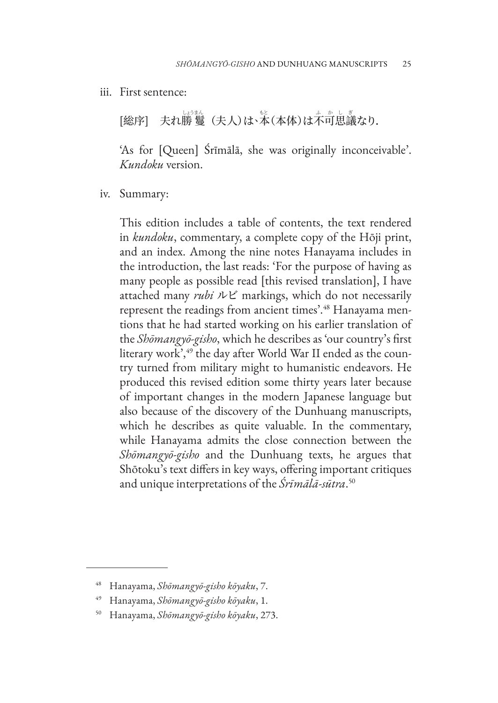iii. First sentence:

[総序] 夫れ勝 鬘(夫人)は、\*\*(本体)は不可思議なり.

'As for [Queen] Śrīmālā, she was originally inconceivable'. *Kundoku* version.

iv. Summary:

This edition includes a table of contents, the text rendered in *kundoku*, commentary, a complete copy of the Hōji print, and an index. Among the nine notes Hanayama includes in the introduction, the last reads: 'For the purpose of having as many people as possible read [this revised translation], I have attached many *rubi* ルビ markings, which do not necessarily represent the readings from ancient times'.<sup>48</sup> Hanayama mentions that he had started working on his earlier translation of the *Shōmangyō-gisho*, which he describes as 'our country's first literary work',<sup>49</sup> the day after World War II ended as the country turned from military might to humanistic endeavors. He produced this revised edition some thirty years later because of important changes in the modern Japanese language but also because of the discovery of the Dunhuang manuscripts, which he describes as quite valuable. In the commentary, while Hanayama admits the close connection between the *Shōmangyō-gisho* and the Dunhuang texts, he argues that Shōtoku's text differs in key ways, offering important critiques and unique interpretations of the *Śrīmālā-sūtra*. 50

<sup>48</sup> Hanayama, *Shōmangyō-gisho kōyaku*, 7.

<sup>49</sup> Hanayama, *Shōmangyō-gisho kōyaku*, 1.

<sup>50</sup> Hanayama, *Shōmangyō-gisho kōyaku*, 273.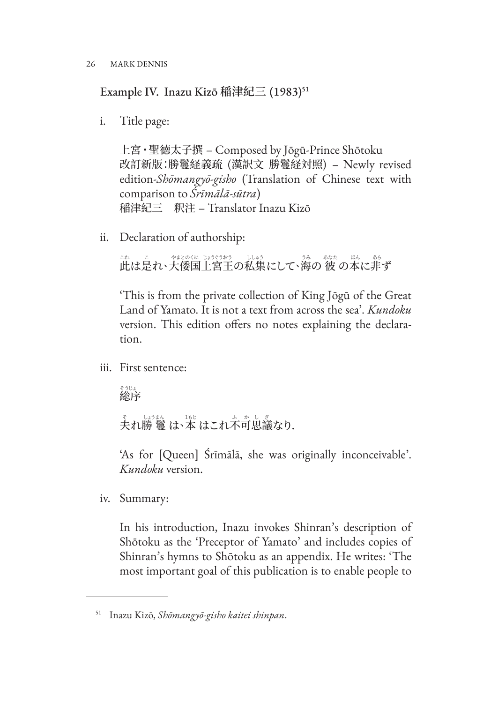Example IV. Inazu Kizō 稲津紀三 (1983)<sup>51</sup>

i. Title page:

上宮・聖徳太子撰 – Composed by Jōgū-Prince Shōtoku 改訂新版:勝鬘経義疏 (漢訳文 勝鬘経対照) – Newly revised edition-*Shōmangyō-gisho* (Translation of Chinese text with comparison to *Śrīmālā-sūtra*) 稲津紀三 釈注 – Translator Inazu Kizō

ii. Declaration of authorship:

<u>…</u><br>此は是れ、大倭国上宮王の私集にして、海の 彼 の本に非ず

'This is from the private collection of King Jōgū of the Great Land of Yamato. It is not a text from across the sea'. *Kundoku* version. This edition offers no notes explaining the declaration.

iii. First sentence:

 そうじょ 総序

<u>、</u><br>夫れ勝 鬘 は<sup>、</sup>本 はこれ不可思議なり.

'As for [Queen] Śrīmālā, she was originally inconceivable'. *Kundoku* version.

iv. Summary:

In his introduction, Inazu invokes Shinran's description of Shōtoku as the 'Preceptor of Yamato' and includes copies of Shinran's hymns to Shōtoku as an appendix. He writes: 'The most important goal of this publication is to enable people to

<sup>51</sup> Inazu Kizō, *Shōmangyō-gisho kaitei shinpan*.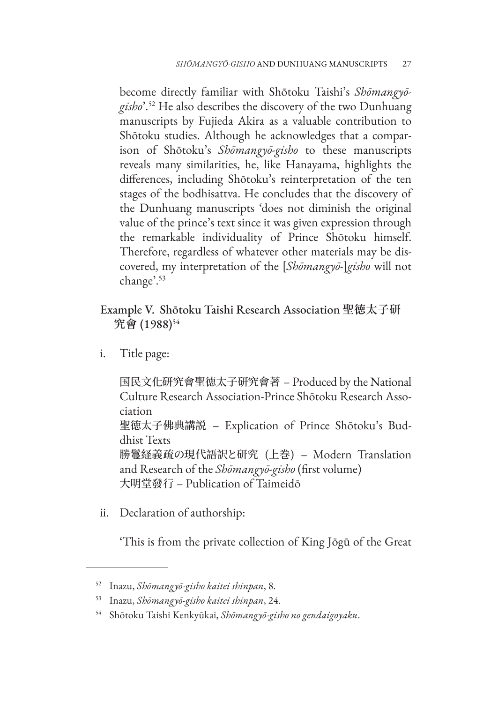become directly familiar with Shōtoku Taishi's *Shōmangyōgisho*'.52 He also describes the discovery of the two Dunhuang manuscripts by Fujieda Akira as a valuable contribution to Shōtoku studies. Although he acknowledges that a comparison of Shōtoku's *Shōmangyō-gisho* to these manuscripts reveals many similarities, he, like Hanayama, highlights the differences, including Shōtoku's reinterpretation of the ten stages of the bodhisattva. He concludes that the discovery of the Dunhuang manuscripts 'does not diminish the original value of the prince's text since it was given expression through the remarkable individuality of Prince Shōtoku himself. Therefore, regardless of whatever other materials may be discovered, my interpretation of the [*Shōmangyō-*]*gisho* will not change'.53

# Example V. Shōtoku Taishi Research Association **聖徳太子研 究會** (1988)54

i. Title page:

国民文化研究會聖徳太子研究會著 – Produced by the National Culture Research Association-Prince Shōtoku Research Association 聖徳太子佛典講説 – Explication of Prince Shōtoku's Buddhist Texts 勝鬘経義疏の現代語訳と研究 (上巻) – Modern Translation and Research of the *Shōmangyō-gisho* (first volume) 大明堂發行 – Publication of Taimeidō

ii. Declaration of authorship:

'This is from the private collection of King Jōgū of the Great

<sup>52</sup> Inazu, *Shōmangyō-gisho kaitei shinpan*, 8.

<sup>53</sup> Inazu, *Shōmangyō-gisho kaitei shinpan*, 24.

<sup>54</sup> Shōtoku Taishi Kenkyūkai, *Shōmangyō-gisho no gendaigoyaku*.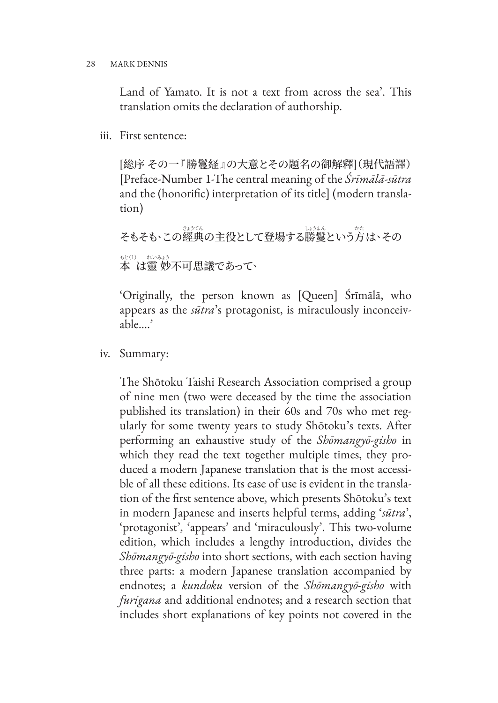Land of Yamato. It is not a text from across the sea'. This translation omits the declaration of authorship.

iii. First sentence:

[総序 その一『勝鬘経』の大意とその題名の御解釋](現代語譯) [Preface-Number 1-The central meaning of the *Śrīmālā-sūtra* and the (honorific) interpretation of its title] (modern translation)

そもそも、この經典の主役として登場する勝鬘という方は、その 。。。<br>本 は靈 妙不可思議であって、

'Originally, the person known as [Queen] Śrīmālā, who appears as the *sūtra*'s protagonist, is miraculously inconceivable….'

iv. Summary:

The Shōtoku Taishi Research Association comprised a group of nine men (two were deceased by the time the association published its translation) in their 60s and 70s who met regularly for some twenty years to study Shōtoku's texts. After performing an exhaustive study of the *Shōmangyō-gisho* in which they read the text together multiple times, they produced a modern Japanese translation that is the most accessible of all these editions. Its ease of use is evident in the translation of the first sentence above, which presents Shōtoku's text in modern Japanese and inserts helpful terms, adding '*sūtra*', 'protagonist', 'appears' and 'miraculously'. This two-volume edition, which includes a lengthy introduction, divides the *Shōmangyō-gisho* into short sections, with each section having three parts: a modern Japanese translation accompanied by endnotes; a *kundoku* version of the *Shōmangyō-gisho* with *furigana* and additional endnotes; and a research section that includes short explanations of key points not covered in the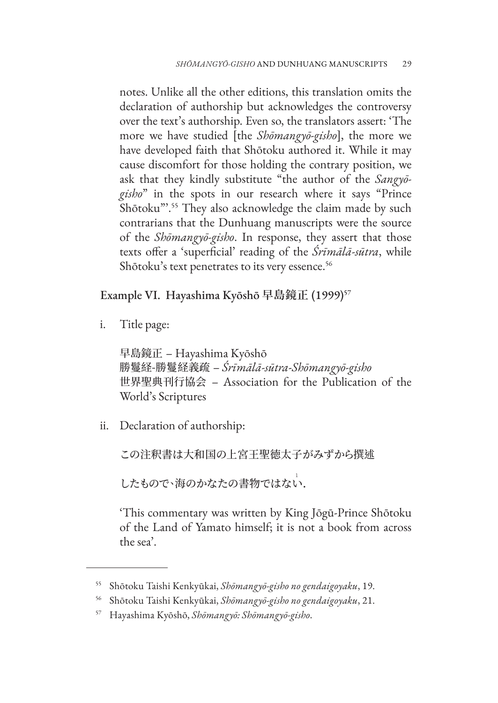notes. Unlike all the other editions, this translation omits the declaration of authorship but acknowledges the controversy over the text's authorship. Even so, the translators assert: 'The more we have studied [the *Shōmangyō-gisho*], the more we have developed faith that Shōtoku authored it. While it may cause discomfort for those holding the contrary position, we ask that they kindly substitute "the author of the *Sangyōgisho*" in the spots in our research where it says "Prince Shōtoku"'.<sup>55</sup> They also acknowledge the claim made by such contrarians that the Dunhuang manuscripts were the source of the *Shōmangyō-gisho*. In response, they assert that those texts offer a 'superficial' reading of the *Śrīmālā-sūtra*, while Shōtoku's text penetrates to its very essence.<sup>56</sup>

Example VI. Hayashima Kyōshō **早島鏡正** (1999)57

i. Title page:

早島鏡正 – Hayashima Kyōshō 勝鬘経-勝鬘経義疏 – *Śrīmālā-sūtra*-*Shōmangyō-gisho* 世界聖典刊行協会 – Association for the Publication of the World's Scriptures

ii. Declaration of authorship:

この注釈書は大和国の上宮王聖徳太子がみずから撰述

したもので、海のかなたの書物ではない.

'This commentary was written by King Jōgū-Prince Shōtoku of the Land of Yamato himself; it is not a book from across the sea'.

<sup>55</sup> Shōtoku Taishi Kenkyūkai, *Shōmangyō-gisho no gendaigoyaku*, 19.

<sup>56</sup> Shōtoku Taishi Kenkyūkai, *Shōmangyō-gisho no gendaigoyaku*, 21.

<sup>57</sup> Hayashima Kyōshō, *Shōmangyō: Shōmangyō-gisho*.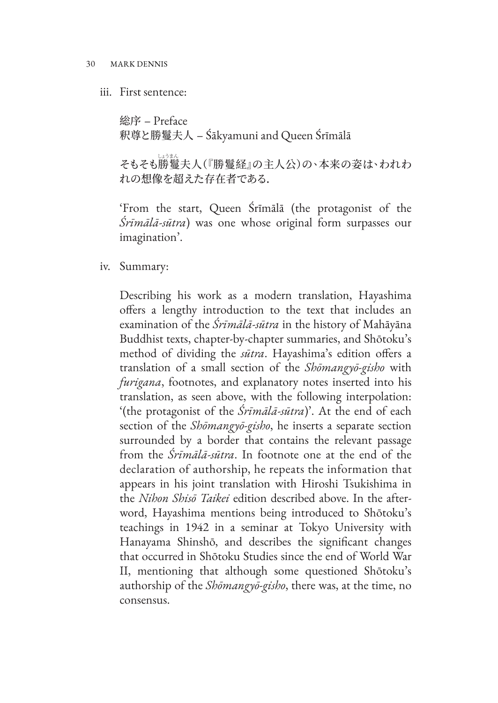### iii. First sentence:

総序 – Preface 釈尊と勝鬘夫人 – Śākyamuni and Queen Śrīmālā

 しょうまん そもそも勝鬘夫人(『勝鬘経』の主人公)の、本来の姿は、われわ れの想像を超えた存在者である.

'From the start, Queen Śrīmālā (the protagonist of the *Śrīmālā-sūtra*) was one whose original form surpasses our imagination'.

### iv. Summary:

Describing his work as a modern translation, Hayashima offers a lengthy introduction to the text that includes an examination of the *Śrīmālā-sūtra* in the history of Mahāyāna Buddhist texts, chapter-by-chapter summaries, and Shōtoku's method of dividing the *sūtra*. Hayashima's edition offers a translation of a small section of the *Shōmangyō-gisho* with *furigana*, footnotes, and explanatory notes inserted into his translation, as seen above, with the following interpolation: '(the protagonist of the *Śrīmālā-sūtra*)'. At the end of each section of the *Shōmangyō-gisho*, he inserts a separate section surrounded by a border that contains the relevant passage from the *Śrīmālā-sūtra*. In footnote one at the end of the declaration of authorship, he repeats the information that appears in his joint translation with Hiroshi Tsukishima in the *Nihon Shisō Taikei* edition described above. In the afterword, Hayashima mentions being introduced to Shōtoku's teachings in 1942 in a seminar at Tokyo University with Hanayama Shinshō, and describes the significant changes that occurred in Shōtoku Studies since the end of World War II, mentioning that although some questioned Shōtoku's authorship of the *Shōmangyō-gisho*, there was, at the time, no consensus.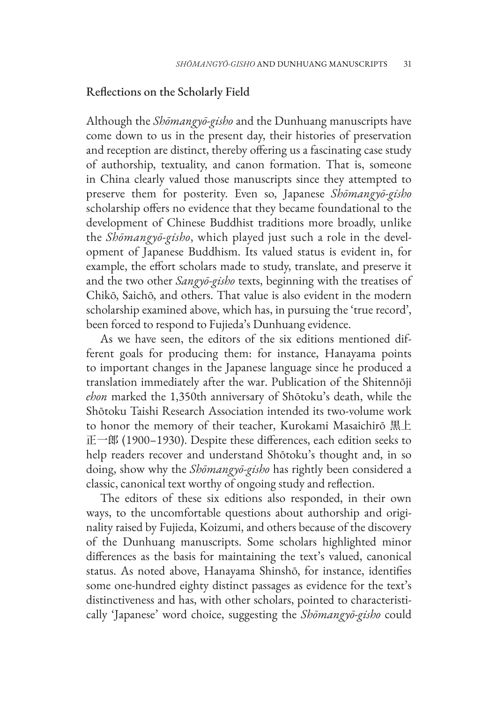### Reflections on the Scholarly Field

Although the *Shōmangyō-gisho* and the Dunhuang manuscripts have come down to us in the present day, their histories of preservation and reception are distinct, thereby offering us a fascinating case study of authorship, textuality, and canon formation. That is, someone in China clearly valued those manuscripts since they attempted to preserve them for posterity. Even so, Japanese *Shōmangyō-gisho* scholarship offers no evidence that they became foundational to the development of Chinese Buddhist traditions more broadly, unlike the *Shōmangyō-gisho*, which played just such a role in the development of Japanese Buddhism. Its valued status is evident in, for example, the effort scholars made to study, translate, and preserve it and the two other *Sangyō-gisho* texts, beginning with the treatises of Chikō, Saichō, and others. That value is also evident in the modern scholarship examined above, which has, in pursuing the 'true record', been forced to respond to Fujieda's Dunhuang evidence.

As we have seen, the editors of the six editions mentioned different goals for producing them: for instance, Hanayama points to important changes in the Japanese language since he produced a translation immediately after the war. Publication of the Shitennōji *ehon* marked the 1,350th anniversary of Shōtoku's death, while the Shōtoku Taishi Research Association intended its two-volume work to honor the memory of their teacher, Kurokami Masaichirō 黒上 正一郎 (1900–1930). Despite these differences, each edition seeks to help readers recover and understand Shōtoku's thought and, in so doing, show why the *Shōmangyō-gisho* has rightly been considered a classic, canonical text worthy of ongoing study and reflection.

The editors of these six editions also responded, in their own ways, to the uncomfortable questions about authorship and originality raised by Fujieda, Koizumi, and others because of the discovery of the Dunhuang manuscripts. Some scholars highlighted minor differences as the basis for maintaining the text's valued, canonical status. As noted above, Hanayama Shinshō, for instance, identifies some one-hundred eighty distinct passages as evidence for the text's distinctiveness and has, with other scholars, pointed to characteristically 'Japanese' word choice, suggesting the *Shōmangyō-gisho* could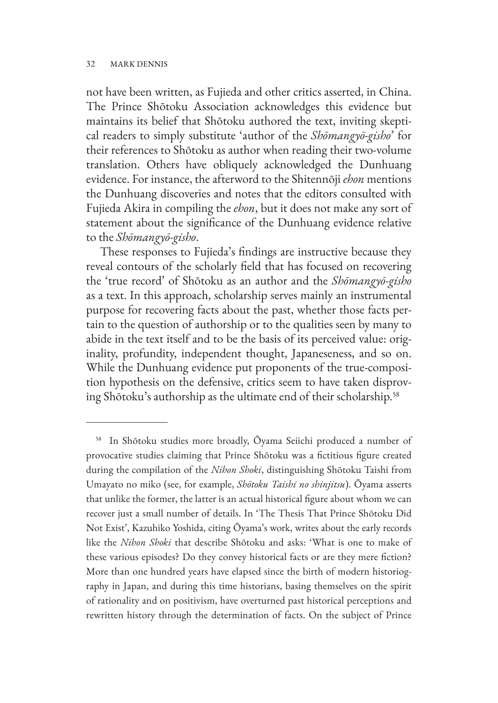not have been written, as Fujieda and other critics asserted, in China. The Prince Shōtoku Association acknowledges this evidence but maintains its belief that Shōtoku authored the text, inviting skeptical readers to simply substitute 'author of the *Shōmangyō-gisho*' for their references to Shōtoku as author when reading their two-volume translation. Others have obliquely acknowledged the Dunhuang evidence. For instance, the afterword to the Shitennōji *ehon* mentions the Dunhuang discoveries and notes that the editors consulted with Fujieda Akira in compiling the *ehon*, but it does not make any sort of statement about the significance of the Dunhuang evidence relative to the *Shōmangyō-gisho*.

These responses to Fujieda's findings are instructive because they reveal contours of the scholarly field that has focused on recovering the 'true record' of Shōtoku as an author and the *Shōmangyō-gisho* as a text. In this approach, scholarship serves mainly an instrumental purpose for recovering facts about the past, whether those facts pertain to the question of authorship or to the qualities seen by many to abide in the text itself and to be the basis of its perceived value: originality, profundity, independent thought, Japaneseness, and so on. While the Dunhuang evidence put proponents of the true-composition hypothesis on the defensive, critics seem to have taken disproving Shōtoku's authorship as the ultimate end of their scholarship.<sup>58</sup>

<sup>58</sup> In Shōtoku studies more broadly, Ōyama Seiichi produced a number of provocative studies claiming that Prince Shōtoku was a fictitious figure created during the compilation of the *Nihon Shoki*, distinguishing Shōtoku Taishi from Umayato no miko (see, for example, *Shōtoku Taishi no shinjitsu*). Ōyama asserts that unlike the former, the latter is an actual historical figure about whom we can recover just a small number of details. In 'The Thesis That Prince Shōtoku Did Not Exist', Kazuhiko Yoshida, citing Ōyama's work, writes about the early records like the *Nihon Shoki* that describe Shōtoku and asks: 'What is one to make of these various episodes? Do they convey historical facts or are they mere fiction? More than one hundred years have elapsed since the birth of modern historiography in Japan, and during this time historians, basing themselves on the spirit of rationality and on positivism, have overturned past historical perceptions and rewritten history through the determination of facts. On the subject of Prince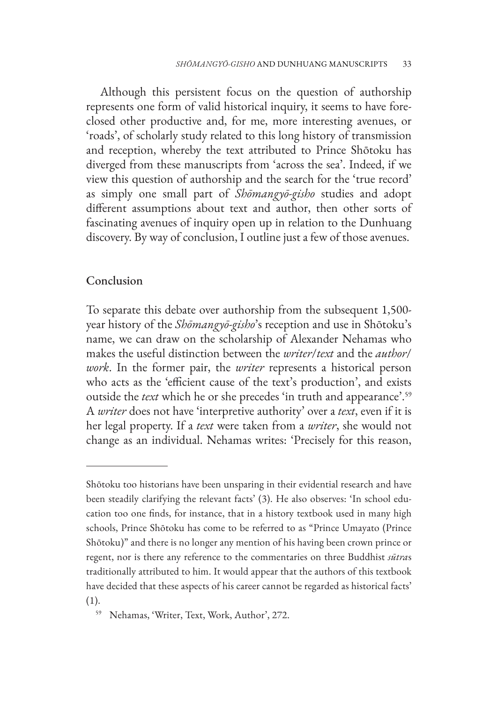Although this persistent focus on the question of authorship represents one form of valid historical inquiry, it seems to have foreclosed other productive and, for me, more interesting avenues, or 'roads', of scholarly study related to this long history of transmission and reception, whereby the text attributed to Prince Shōtoku has diverged from these manuscripts from 'across the sea'. Indeed, if we view this question of authorship and the search for the 'true record' as simply one small part of *Shōmangyō-gisho* studies and adopt different assumptions about text and author, then other sorts of fascinating avenues of inquiry open up in relation to the Dunhuang discovery. By way of conclusion, I outline just a few of those avenues.

### Conclusion

To separate this debate over authorship from the subsequent 1,500 year history of the *Shōmangyō-gisho*'s reception and use in Shōtoku's name, we can draw on the scholarship of Alexander Nehamas who makes the useful distinction between the *writer*/*text* and the *author*/ *work*. In the former pair, the *writer* represents a historical person who acts as the 'efficient cause of the text's production', and exists outside the *text* which he or she precedes 'in truth and appearance'.59 A *writer* does not have 'interpretive authority' over a *text*, even if it is her legal property. If a *text* were taken from a *writer*, she would not change as an individual. Nehamas writes: 'Precisely for this reason,

Shōtoku too historians have been unsparing in their evidential research and have been steadily clarifying the relevant facts' (3). He also observes: 'In school education too one finds, for instance, that in a history textbook used in many high schools, Prince Shōtoku has come to be referred to as "Prince Umayato (Prince Shōtoku)" and there is no longer any mention of his having been crown prince or regent, nor is there any reference to the commentaries on three Buddhist *sūtra*s traditionally attributed to him. It would appear that the authors of this textbook have decided that these aspects of his career cannot be regarded as historical facts' (1).

<sup>59</sup> Nehamas, 'Writer, Text, Work, Author', 272.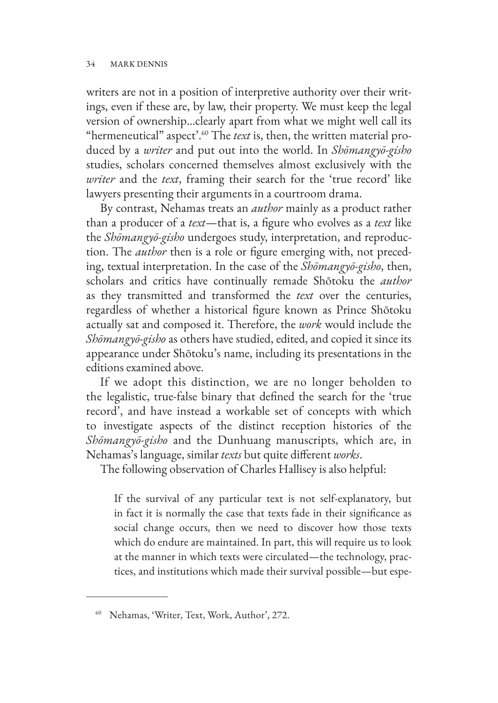writers are not in a position of interpretive authority over their writings, even if these are, by law, their property. We must keep the legal version of ownership…clearly apart from what we might well call its "hermeneutical" aspect'.60 The *text* is, then, the written material produced by a *writer* and put out into the world. In *Shōmangyō-gisho* studies, scholars concerned themselves almost exclusively with the *writer* and the *text*, framing their search for the 'true record' like lawyers presenting their arguments in a courtroom drama.

By contrast, Nehamas treats an *author* mainly as a product rather than a producer of a *text*—that is, a figure who evolves as a *text* like the *Shōmangyō-gisho* undergoes study, interpretation, and reproduction. The *author* then is a role or figure emerging with, not preceding, textual interpretation. In the case of the *Shōmangyō-gisho*, then, scholars and critics have continually remade Shōtoku the *author* as they transmitted and transformed the *text* over the centuries, regardless of whether a historical figure known as Prince Shōtoku actually sat and composed it. Therefore, the *work* would include the *Shōmangyō-gisho* as others have studied, edited, and copied it since its appearance under Shōtoku's name, including its presentations in the editions examined above.

If we adopt this distinction, we are no longer beholden to the legalistic, true-false binary that defined the search for the 'true record', and have instead a workable set of concepts with which to investigate aspects of the distinct reception histories of the *Shōmangyō-gisho* and the Dunhuang manuscripts, which are, in Nehamas's language, similar *texts* but quite different *works*.

The following observation of Charles Hallisey is also helpful:

If the survival of any particular text is not self-explanatory, but in fact it is normally the case that texts fade in their significance as social change occurs, then we need to discover how those texts which do endure are maintained. In part, this will require us to look at the manner in which texts were circulated—the technology, practices, and institutions which made their survival possible—but espe-

<sup>60</sup> Nehamas, 'Writer, Text, Work, Author', 272.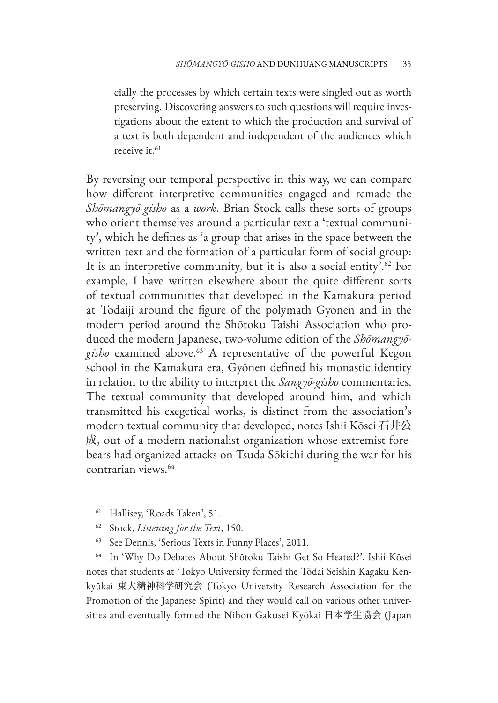cially the processes by which certain texts were singled out as worth preserving. Discovering answers to such questions will require investigations about the extent to which the production and survival of a text is both dependent and independent of the audiences which receive it.<sup>61</sup>

By reversing our temporal perspective in this way, we can compare how different interpretive communities engaged and remade the *Shōmangyō-gisho* as a *work*. Brian Stock calls these sorts of groups who orient themselves around a particular text a 'textual community', which he defines as 'a group that arises in the space between the written text and the formation of a particular form of social group: It is an interpretive community, but it is also a social entity'.<sup>62</sup> For example, I have written elsewhere about the quite different sorts of textual communities that developed in the Kamakura period at Tōdaiji around the figure of the polymath Gyōnen and in the modern period around the Shōtoku Taishi Association who produced the modern Japanese, two-volume edition of the *Shōmangyōgisho* examined above.63 A representative of the powerful Kegon school in the Kamakura era, Gyōnen defined his monastic identity in relation to the ability to interpret the *Sangyō-gisho* commentaries. The textual community that developed around him, and which transmitted his exegetical works, is distinct from the association's modern textual community that developed, notes Ishii Kōsei 石井公 成, out of a modern nationalist organization whose extremist forebears had organized attacks on Tsuda Sōkichi during the war for his contrarian views.64

<sup>64</sup> In 'Why Do Debates About Shōtoku Taishi Get So Heated?', Ishii Kōsei notes that students at 'Tokyo University formed the Tōdai Seishin Kagaku Kenkyūkai 東大精神科学研究会 (Tokyo University Research Association for the Promotion of the Japanese Spirit) and they would call on various other universities and eventually formed the Nihon Gakusei Kyōkai 日本学生協会 (Japan

<sup>61</sup> Hallisey, 'Roads Taken', 51.

<sup>62</sup> Stock, *Listening for the Text*, 150.

See Dennis, 'Serious Texts in Funny Places', 2011.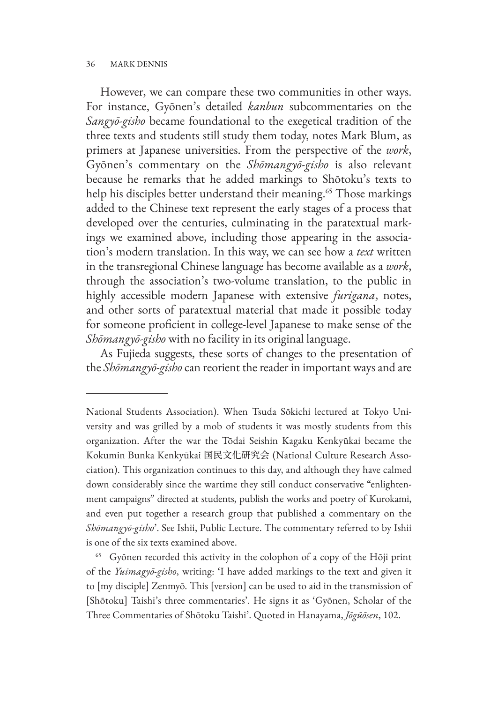However, we can compare these two communities in other ways. For instance, Gyōnen's detailed *kanbun* subcommentaries on the *Sangyō-gisho* became foundational to the exegetical tradition of the three texts and students still study them today, notes Mark Blum, as primers at Japanese universities. From the perspective of the *work*, Gyōnen's commentary on the *Shōmangyō-gisho* is also relevant because he remarks that he added markings to Shōtoku's texts to help his disciples better understand their meaning.<sup>65</sup> Those markings added to the Chinese text represent the early stages of a process that developed over the centuries, culminating in the paratextual markings we examined above, including those appearing in the association's modern translation. In this way, we can see how a *text* written in the transregional Chinese language has become available as a *work*, through the association's two-volume translation, to the public in highly accessible modern Japanese with extensive *furigana*, notes, and other sorts of paratextual material that made it possible today for someone proficient in college-level Japanese to make sense of the *Shōmangyō-gisho* with no facility in its original language.

As Fujieda suggests, these sorts of changes to the presentation of the *Shōmangyō-gisho* can reorient the reader in important ways and are

National Students Association). When Tsuda Sōkichi lectured at Tokyo University and was grilled by a mob of students it was mostly students from this organization. After the war the Tōdai Seishin Kagaku Kenkyūkai became the Kokumin Bunka Kenkyūkai 国民文化研究会 (National Culture Research Association). This organization continues to this day, and although they have calmed down considerably since the wartime they still conduct conservative "enlightenment campaigns" directed at students, publish the works and poetry of Kurokami, and even put together a research group that published a commentary on the *Shōmangyō-gisho*'. See Ishii, Public Lecture. The commentary referred to by Ishii is one of the six texts examined above.

<sup>65</sup> Gyōnen recorded this activity in the colophon of a copy of the Hōji print of the *Yuimagyō-gisho*, writing: 'I have added markings to the text and given it to [my disciple] Zenmyō. This [version] can be used to aid in the transmission of [Shōtoku] Taishi's three commentaries'. He signs it as 'Gyōnen, Scholar of the Three Commentaries of Shōtoku Taishi'. Quoted in Hanayama, *Jōgūōsen*, 102.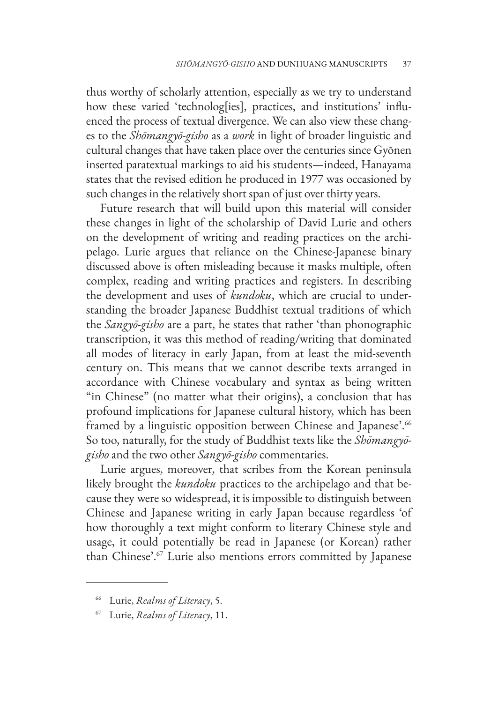thus worthy of scholarly attention, especially as we try to understand how these varied 'technolog[ies], practices, and institutions' influenced the process of textual divergence. We can also view these changes to the *Shōmangyō-gisho* as a *work* in light of broader linguistic and cultural changes that have taken place over the centuries since Gyōnen inserted paratextual markings to aid his students—indeed, Hanayama states that the revised edition he produced in 1977 was occasioned by such changes in the relatively short span of just over thirty years.

Future research that will build upon this material will consider these changes in light of the scholarship of David Lurie and others on the development of writing and reading practices on the archipelago. Lurie argues that reliance on the Chinese-Japanese binary discussed above is often misleading because it masks multiple, often complex, reading and writing practices and registers. In describing the development and uses of *kundoku*, which are crucial to understanding the broader Japanese Buddhist textual traditions of which the *Sangyō-gisho* are a part, he states that rather 'than phonographic transcription, it was this method of reading/writing that dominated all modes of literacy in early Japan, from at least the mid-seventh century on. This means that we cannot describe texts arranged in accordance with Chinese vocabulary and syntax as being written "in Chinese" (no matter what their origins), a conclusion that has profound implications for Japanese cultural history, which has been framed by a linguistic opposition between Chinese and Japanese'.<sup>66</sup> So too, naturally, for the study of Buddhist texts like the *Shōmangyōgisho* and the two other *Sangyō-gisho* commentaries.

Lurie argues, moreover, that scribes from the Korean peninsula likely brought the *kundoku* practices to the archipelago and that because they were so widespread, it is impossible to distinguish between Chinese and Japanese writing in early Japan because regardless 'of how thoroughly a text might conform to literary Chinese style and usage, it could potentially be read in Japanese (or Korean) rather than Chinese'.67 Lurie also mentions errors committed by Japanese

<sup>66</sup> Lurie, *Realms of Literacy*, 5.

<sup>67</sup> Lurie, *Realms of Literacy*, 11.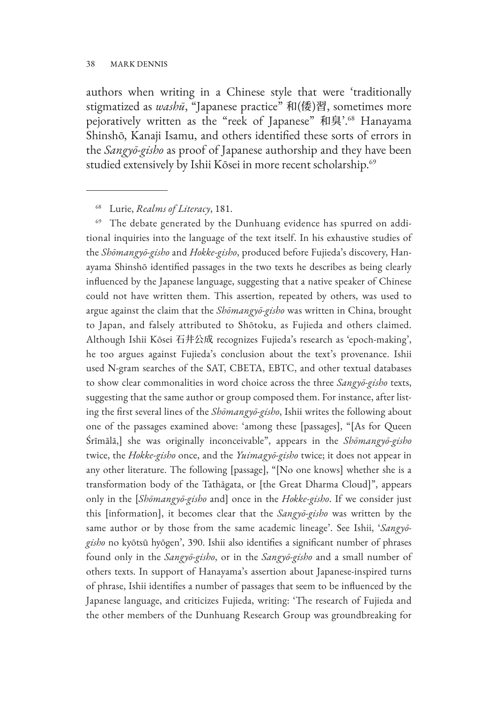authors when writing in a Chinese style that were 'traditionally stigmatized as *washū*, "Japanese practice" 和(倭)習, sometimes more pejoratively written as the "reek of Japanese" 和臭'.<sup>68</sup> Hanayama Shinshō, Kanaji Isamu, and others identified these sorts of errors in the *Sangyō-gisho* as proof of Japanese authorship and they have been studied extensively by Ishii Kōsei in more recent scholarship.<sup>69</sup>

<sup>68</sup> Lurie, *Realms of Literacy*, 181.

The debate generated by the Dunhuang evidence has spurred on additional inquiries into the language of the text itself. In his exhaustive studies of the *Shōmangyō-gisho* and *Hokke-gisho*, produced before Fujieda's discovery, Hanayama Shinshō identified passages in the two texts he describes as being clearly influenced by the Japanese language, suggesting that a native speaker of Chinese could not have written them. This assertion, repeated by others, was used to argue against the claim that the *Shōmangyō-gisho* was written in China, brought to Japan, and falsely attributed to Shōtoku, as Fujieda and others claimed. Although Ishii Kōsei 石井公成 recognizes Fujieda's research as 'epoch-making', he too argues against Fujieda's conclusion about the text's provenance. Ishii used N-gram searches of the SAT, CBETA, EBTC, and other textual databases to show clear commonalities in word choice across the three *Sangyō-gisho* texts, suggesting that the same author or group composed them. For instance, after listing the first several lines of the *Shōmangyō-gisho*, Ishii writes the following about one of the passages examined above: 'among these [passages], "[As for Queen Śrīmālā,] she was originally inconceivable", appears in the *Shōmangyō-gisho* twice, the *Hokke-gisho* once, and the *Yuimagyō-gisho* twice; it does not appear in any other literature. The following [passage], "[No one knows] whether she is a transformation body of the Tathāgata, or [the Great Dharma Cloud]", appears only in the [*Shōmangyō-gisho* and] once in the *Hokke-gisho*. If we consider just this [information], it becomes clear that the *Sangyō-gisho* was written by the same author or by those from the same academic lineage'. See Ishii, '*Sangyōgisho* no kyōtsū hyōgen', 390. Ishii also identifies a significant number of phrases found only in the *Sangyō-gisho*, or in the *Sangyō-gisho* and a small number of others texts. In support of Hanayama's assertion about Japanese-inspired turns of phrase, Ishii identifies a number of passages that seem to be influenced by the Japanese language, and criticizes Fujieda, writing: 'The research of Fujieda and the other members of the Dunhuang Research Group was groundbreaking for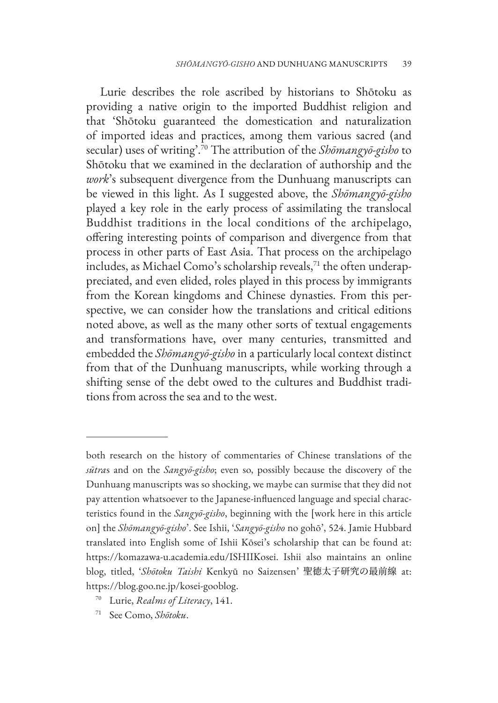Lurie describes the role ascribed by historians to Shōtoku as providing a native origin to the imported Buddhist religion and that 'Shōtoku guaranteed the domestication and naturalization of imported ideas and practices, among them various sacred (and secular) uses of writing'.70 The attribution of the *Shōmangyō-gisho* to Shōtoku that we examined in the declaration of authorship and the *work*'s subsequent divergence from the Dunhuang manuscripts can be viewed in this light. As I suggested above, the *Shōmangyō-gisho* played a key role in the early process of assimilating the translocal Buddhist traditions in the local conditions of the archipelago, offering interesting points of comparison and divergence from that process in other parts of East Asia. That process on the archipelago includes, as Michael Como's scholarship reveals, $71$  the often underappreciated, and even elided, roles played in this process by immigrants from the Korean kingdoms and Chinese dynasties. From this perspective, we can consider how the translations and critical editions noted above, as well as the many other sorts of textual engagements and transformations have, over many centuries, transmitted and embedded the *Shōmangyō-gisho* in a particularly local context distinct from that of the Dunhuang manuscripts, while working through a shifting sense of the debt owed to the cultures and Buddhist traditions from across the sea and to the west.

both research on the history of commentaries of Chinese translations of the *sūtra*s and on the *Sangyō-gisho*; even so, possibly because the discovery of the Dunhuang manuscripts was so shocking, we maybe can surmise that they did not pay attention whatsoever to the Japanese-influenced language and special characteristics found in the *Sangyō-gisho*, beginning with the [work here in this article on] the *Shōmangyō-gisho*'. See Ishii, '*Sangyō-gisho* no gohō', 524. Jamie Hubbard translated into English some of Ishii Kōsei's scholarship that can be found at: https://komazawa-u.academia.edu/ISHIIKosei. Ishii also maintains an online blog, titled, '*Shōtoku Taishi* Kenkyū no Saizensen' 聖徳太子研究の最前線 at: https://blog.goo.ne.jp/kosei-gooblog.

<sup>70</sup> Lurie, *Realms of Literacy*, 141.

<sup>71</sup> See Como, *Shōtoku*.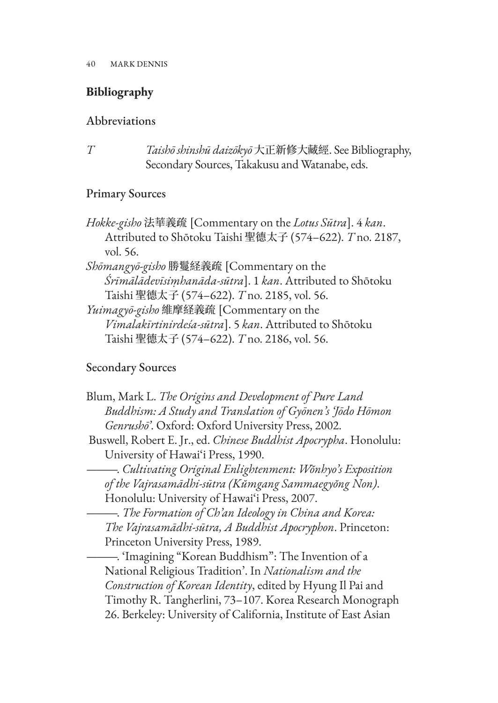# **Bibliography**

# Abbreviations

*T Taishō shinshū daizōkyō* 大正新修大藏經. See Bibliography, Secondary Sources, Takakusu and Watanabe, eds.

# Primary Sources

- *Hokke-gisho* 法華義疏 [Commentary on the *Lotus Sūtra*]. 4 *kan*. Attributed to Shōtoku Taishi 聖德太子 (574–622). *T* no. 2187, vol. 56.
- *Shōmangyō-gisho* 勝鬘経義疏 [Commentary on the *Śrīmālādevīsiṃhanāda-sūtra*]. 1 *kan*. Attributed to Shōtoku Taishi 聖德太子 (574–622). *T* no. 2185, vol. 56.

*Yuimagyō-gisho* 維摩経義疏 [Commentary on the *Vimalakīrtinirdeśa-sūtra*]. 5 *kan*. Attributed to Shōtoku Taishi 聖德太子 (574–622). *T* no. 2186, vol. 56.

# Secondary Sources

| Blum, Mark L. The Origins and Development of Pure Land                                                        |
|---------------------------------------------------------------------------------------------------------------|
| Buddhism: A Study and Translation of Gyōnen's Jōdo Hōmon<br>Genrushō'. Oxford: Oxford University Press, 2002. |
| Buswell, Robert E. Jr., ed. Chinese Buddhist Apocrypha. Honolulu:                                             |
| University of Hawai'i Press, 1990.                                                                            |
| –. Cultivating Original Enlightenment: Wŏnhyo's Exposition                                                    |
| of the Vajrasamādhi-sūtra (Kŭmgang Sammaegyŏng Non).                                                          |
| Honolulu: University of Hawai'i Press, 2007.                                                                  |
| -. The Formation of Ch'an Ideology in China and Korea:                                                        |
| The Vajrasamādhi-sūtra, A Buddhist Apocryphon. Princeton:                                                     |
| Princeton University Press, 1989.                                                                             |
| -. 'Imagining "Korean Buddhism": The Invention of a                                                           |
| National Religious Tradition'. In Nationalism and the                                                         |
| Construction of Korean Identity, edited by Hyung Il Pai and                                                   |
| Timothy R. Tangherlini, 73-107. Korea Research Monograph                                                      |
| 26. Berkeley: University of California, Institute of East Asian                                               |
|                                                                                                               |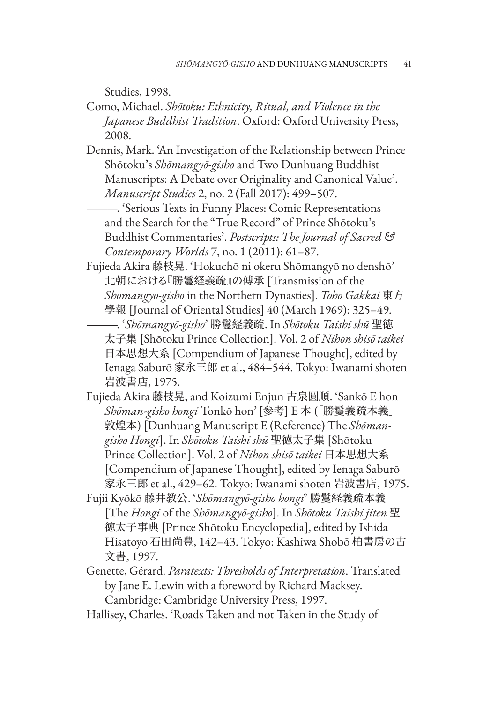Studies, 1998.

- Como, Michael. *Shōtoku: Ethnicity, Ritual, and Violence in the Japanese Buddhist Tradition*. Oxford: Oxford University Press, 2008.
- Dennis, Mark. 'An Investigation of the Relationship between Prince Shōtoku's *Shōmangyō-gisho* and Two Dunhuang Buddhist Manuscripts: A Debate over Originality and Canonical Value'. *Manuscript Studies* 2, no. 2 (Fall 2017): 499–507.

———. 'Serious Texts in Funny Places: Comic Representations and the Search for the "True Record" of Prince Shōtoku's Buddhist Commentaries'. *Postscripts: The Journal of Sacred & Contemporary Worlds* 7, no. 1 (2011): 61–87.

Fujieda Akira 藤枝晃. 'Hokuchō ni okeru Shōmangyō no denshō' 北朝における『勝鬘経義疏』の傅承 [Transmission of the *Shōmangyō-gisho* in the Northern Dynasties]. *Tōhō Gakkai* 東方 學報 [Journal of Oriental Studies] 40 (March 1969): 325–49.

———. '*Shōmangyō-gisho*' 勝鬘経義疏. In *Shōtoku Taishi shū* 聖徳 太子集 [Shōtoku Prince Collection]. Vol. 2 of *Nihon shisō taikei* 日本思想大系 [Compendium of Japanese Thought], edited by Ienaga Saburō 家永三郎 et al., 484–544. Tokyo: Iwanami shoten 岩波書店, 1975.

- Fujieda Akira 藤枝晃, and Koizumi Enjun 古泉圓順. 'Sankō E hon *Shōman-gisho hongi* Tonkō hon' [参考] E 本 (「勝鬘義疏本義」 敦煌本) [Dunhuang Manuscript E (Reference) The *Shōmangisho Hongi*]. In *Shōtoku Taishi shū* 聖徳太子集 [Shōtoku Prince Collection]. Vol. 2 of *Nihon shisō taikei* 日本思想大系 [Compendium of Japanese Thought], edited by Ienaga Saburō 家永三郎 et al., 429–62. Tokyo: Iwanami shoten 岩波書店, 1975.
- Fujii Kyōkō 藤井教公. '*Shōmangyō-gisho hongi*' 勝鬘経義疏本義 [The *Hongi* of the *Shōmangyō-gisho*]. In *Shōtoku Taishi jiten* 聖 徳太子事典 [Prince Shōtoku Encyclopedia], edited by Ishida Hisatoyo 石田尚豊, 142–43. Tokyo: Kashiwa Shobō 柏書房の古 文書, 1997.
- Genette, Gérard. *Paratexts: Thresholds of Interpretation*. Translated by Jane E. Lewin with a foreword by Richard Macksey. Cambridge: Cambridge University Press, 1997.
- Hallisey, Charles. 'Roads Taken and not Taken in the Study of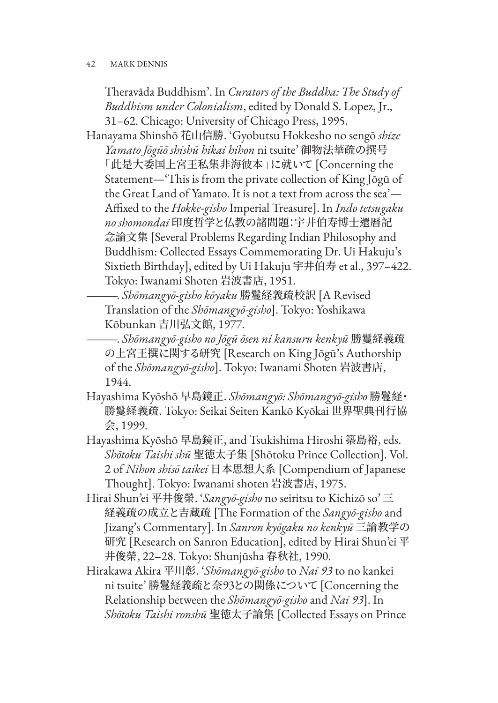Theravāda Buddhism'. In *Curators of the Buddha: The Study of Buddhism under Colonialism*, edited by Donald S. Lopez, Jr., 31–62. Chicago: University of Chicago Press, 1995.

Hanayama Shinshō 花山信勝. 'Gyobutsu Hokkesho no sengō *shize Yamato Jōgūō shishū hikai hihon* ni tsuite' 御物法華疏の撰号 「此是大委国上宮王私集非海彼本」に就いて [Concerning the Statement—'This is from the private collection of King Jōgū of the Great Land of Yamato. It is not a text from across the sea'— Affixed to the *Hokke-gisho* Imperial Treasure]. In *Indo tetsugaku no shomondai* 印度哲学と仏教の諸問題:宇井伯寿博士還暦記 念論文集 [Several Problems Regarding Indian Philosophy and Buddhism: Collected Essays Commemorating Dr. Ui Hakuju's Sixtieth Birthday], edited by Ui Hakuju 宇井伯寿 et al., 397–422. Tokyo: Iwanami Shoten 岩波書店, 1951.

———. *Shōmangyō-gisho kōyaku* 勝鬘経義疏校訳 [A Revised Translation of the *Shōmangyō-gisho*]. Tokyo: Yoshikawa Kōbunkan 吉川弘文館, 1977.

———. *Shōmangyō-gisho no Jōgū ōsen ni kansuru kenkyū* 勝鬘経義疏 の上宮王撰に関する研究 [Research on King Jōgū's Authorship of the *Shōmangyō-gisho*]. Tokyo: Iwanami Shoten 岩波書店, 1944.

- Hayashima Kyōshō 早島鏡正. *Shōmangyō: Shōmangyō-gisho* 勝鬘経・ 勝鬘経義疏. Tokyo: Seikai Seiten Kankō Kyōkai 世界聖典刊行協 会, 1999.
- Hayashima Kyōshō 早島鏡正, and Tsukishima Hiroshi 築島裕, eds. *Shōtoku Taishi shū* 聖徳太子集 [Shōtoku Prince Collection]. Vol. 2 of *Nihon shisō taikei* 日本思想大系 [Compendium of Japanese Thought]. Tokyo: Iwanami shoten 岩波書店, 1975.
- Hirai Shun'ei 平井俊榮. '*Sangyō-gisho* no seiritsu to Kichizō so' 三 経義疏の成立と吉蔵疏 [The Formation of the *Sangyō-gisho* and Jizang's Commentary]. In *Sanron kyōgaku no kenkyū* 三論教学の 研究 [Research on Sanron Education], edited by Hirai Shun'ei 平 井俊榮, 22–28. Tokyo: Shunjūsha 春秋社, 1990.
- Hirakawa Akira 平川彰. '*Shōmangyō-gisho* to *Nai 93* to no kankei ni tsuite' 勝鬘経義疏と奈93との関係について [Concerning the Relationship between the *Shōmangyō-gisho* and *Nai 93*]. In *Shōtoku Taishi ronshū* 聖徳太子論集 [Collected Essays on Prince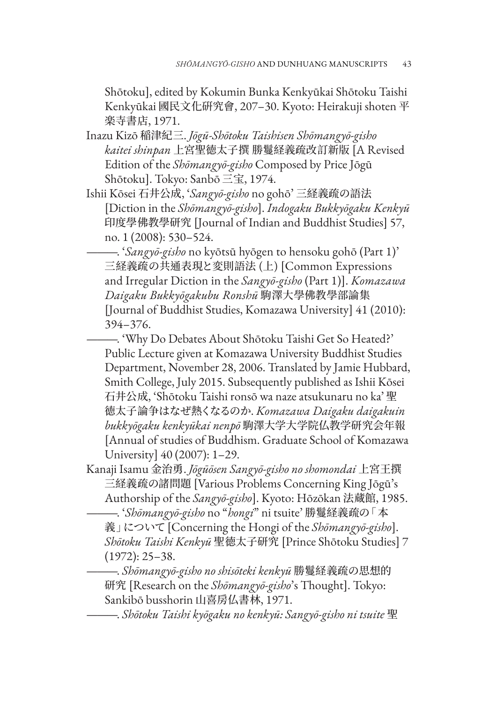Shōtoku], edited by Kokumin Bunka Kenkyūkai Shōtoku Taishi Kenkyūkai 國民文化硏究會, 207–30. Kyoto: Heirakuji shoten 平 楽寺書店, 1971.

- Inazu Kizō 稲津紀三. *Jōgū-Shōtoku Taishisen Shōmangyō-gisho kaitei shinpan* 上宮聖徳太子撰 勝鬘経義疏改訂新版 [A Revised Edition of the *Shōmangyō-gisho* Composed by Price Jōgū Shōtoku]. Tokyo: Sanbō 三宝, 1974.
- Ishii Kōsei 石井公成, '*Sangyō-gisho* no gohō' 三経義疏の語法 [Diction in the *Shōmangyō-gisho*]. *Indogaku Bukkyōgaku Kenkyū* 印度學佛教學研究 [Journal of Indian and Buddhist Studies] 57, no. 1 (2008): 530–524.

———. '*Sangyō-gisho* no kyōtsū hyōgen to hensoku gohō (Part 1)' 三経義疏の共通表現と変則語法 (上) [Common Expressions and Irregular Diction in the *Sangyō-gisho* (Part 1)]. *Komazawa Daigaku Bukkyōgakubu Ronshū* 駒澤大學佛教學部論集 [Journal of Buddhist Studies, Komazawa University] 41 (2010): 394–376.

———. 'Why Do Debates About Shōtoku Taishi Get So Heated?' Public Lecture given at Komazawa University Buddhist Studies Department, November 28, 2006. Translated by Jamie Hubbard, Smith College, July 2015. Subsequently published as Ishii Kōsei 石井公成, 'Shōtoku Taishi ronsō wa naze atsukunaru no ka' 聖 徳太子論争はなぜ熱くなるのか. *Komazawa Daigaku daigakuin bukkyōgaku kenkyūkai nenpō* 駒澤大学大学院仏教学研究会年報 [Annual of studies of Buddhism. Graduate School of Komazawa University] 40 (2007): 1–29.

Kanaji Isamu 金治勇. *Jōgūōsen Sangyō-gisho no shomondai* 上宮王撰 三経義疏の諸問題 [Various Problems Concerning King Jōgū's Authorship of the *Sangyō-gisho*]. Kyoto: Hōzōkan 法蔵館, 1985.

———. '*Shōmangyō-gisho* no "*hongi*" ni tsuite' 勝鬘経義疏の「本 義」について [Concerning the Hongi of the *Shōmangyō-gisho*]. *Shōtoku Taishi Kenkyū* 聖徳太子研究 [Prince Shōtoku Studies] 7 (1972): 25–38.

———. *Shōmangyō-gisho no shisōteki kenkyū* 勝鬘経義疏の思想的 研究 [Research on the *Shōmangyō-gisho*'s Thought]. Tokyo: Sankibō busshorin 山喜房仏書林, 1971.

———. *Shōtoku Taishi kyōgaku no kenkyū: Sangyō-gisho ni tsuite* 聖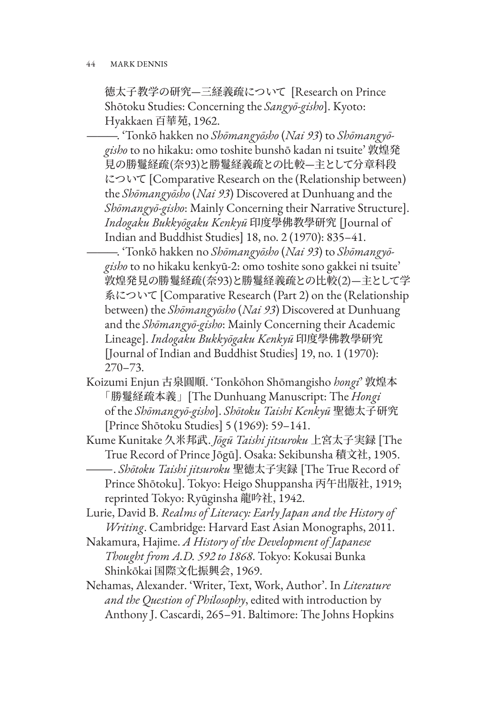徳太子教学の研究—三経義疏について [Research on Prince Shōtoku Studies: Concerning the *Sangyō-gisho*]. Kyoto: Hyakkaen 百華苑, 1962.

———. 'Tonkō hakken no *Shōmangyōsho* (*Nai 93*) to *Shōmangyōgisho* to no hikaku: omo toshite bunshō kadan ni tsuite' 敦煌発 見の勝鬘経疏(奈93)と勝鬘経義疏との比較—主として分章科段 について [Comparative Research on the (Relationship between) the *Shōmangyōsho* (*Nai 93*) Discovered at Dunhuang and the *Shōmangyō-gisho*: Mainly Concerning their Narrative Structure]. *Indogaku Bukkyōgaku Kenkyū* 印度學佛教學研究 [Journal of Indian and Buddhist Studies] 18, no. 2 (1970): 835–41.

———. 'Tonkō hakken no *Shōmangyōsho* (*Nai 93*) to *Shōmangyōgisho* to no hikaku kenkyū-2: omo toshite sono gakkei ni tsuite' 敦煌発見の勝鬘経疏(奈93)と勝鬘経義疏との比較(2)—主として学 系について [Comparative Research (Part 2) on the (Relationship between) the *Shōmangyōsho* (*Nai 93*) Discovered at Dunhuang and the *Shōmangyō-gisho*: Mainly Concerning their Academic Lineage]. *Indogaku Bukkyōgaku Kenkyū* 印度學佛教學研究 [Journal of Indian and Buddhist Studies] 19, no. 1 (1970): 270–73.

- Koizumi Enjun 古泉圓順. 'Tonkōhon Shōmangisho *hongi*' 敦煌本 「勝鬘経疏本義」[The Dunhuang Manuscript: The *Hongi* of the *Shōmangyō-gisho*]. *Shōtoku Taishi Kenkyū* 聖徳太子研究 [Prince Shōtoku Studies] 5 (1969): 59–141.
- Kume Kunitake 久米邦武. *Jōgū Taishi jitsuroku* 上宮太子実録 [The True Record of Prince Jōgū]. Osaka: Sekibunsha 積文社, 1905.
- ———. *Shōtoku Taishi jitsuroku* 聖徳太子実録 [The True Record of Prince Shōtoku]. Tokyo: Heigo Shuppansha 丙午出版社, 1919; reprinted Tokyo: Ryūginsha 龍吟社, 1942.

Lurie, David B. *Realms of Literacy: Early Japan and the History of Writing*. Cambridge: Harvard East Asian Monographs, 2011.

- Nakamura, Hajime. *A History of the Development of Japanese Thought from A.D. 592 to 1868*. Tokyo: Kokusai Bunka Shinkōkai 国際文化振興会, 1969.
- Nehamas, Alexander. 'Writer, Text, Work, Author'. In *Literature and the Question of Philosophy*, edited with introduction by Anthony J. Cascardi, 265–91. Baltimore: The Johns Hopkins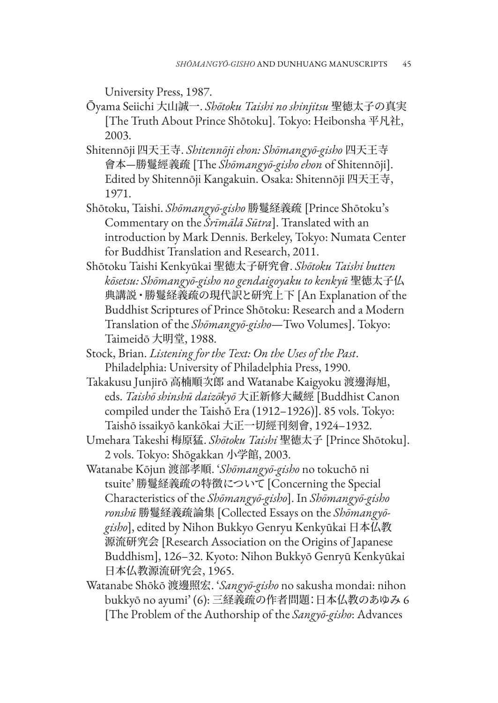University Press, 1987.

- Ōyama Seiichi 大山誠一. *Shōtoku Taishi no shinjitsu* 聖徳太子の真実 [The Truth About Prince Shōtoku]. Tokyo: Heibonsha 平凡社, 2003.
- Shitennōji 四天王寺. *Shitennōji ehon: Shōmangyō-gisho* 四天王寺 會本—勝鬘經義疏 [The *Shōmangyō-gisho ehon* of Shitennōji]. Edited by Shitennōji Kangakuin. Osaka: Shitennōji 四天王寺, 1971.
- Shōtoku, Taishi. *Shōmangyō-gisho* 勝鬘経義疏 [Prince Shōtoku's Commentary on the *Śrīmālā Sūtra*]. Translated with an introduction by Mark Dennis. Berkeley, Tokyo: Numata Center for Buddhist Translation and Research, 2011.
- Shōtoku Taishi Kenkyūkai 聖徳太子研究會. *Shōtoku Taishi butten kōsetsu: Shōmangyō-gisho no gendaigoyaku to kenkyū* 聖徳太子仏 典講説・勝鬘経義疏の現代訳と研究上下 [An Explanation of the Buddhist Scriptures of Prince Shōtoku: Research and a Modern Translation of the *Shōmangyō-gisho*—Two Volumes]. Tokyo: Taimeidō 大明堂, 1988.
- Stock, Brian. *Listening for the Text: On the Uses of the Past*. Philadelphia: University of Philadelphia Press, 1990.
- Takakusu Junjirō 高楠順次郎 and Watanabe Kaigyoku 渡邊海旭, eds. *Taishō shinshū daizōkyō* 大正新修大藏經 [Buddhist Canon compiled under the Taishō Era (1912–1926)]. 85 vols. Tokyo: Taishō issaikyō kankōkai 大正一切經刊刻會, 1924–1932.
- Umehara Takeshi 梅原猛. *Shōtoku Taishi* 聖徳太子 [Prince Shōtoku]. 2 vols. Tokyo: Shōgakkan 小学館, 2003.
- Watanabe Kōjun 渡部孝順. '*Shōmangyō-gisho* no tokuchō ni tsuite' 勝鬘経義疏の特徴について [Concerning the Special Characteristics of the *Shōmangyō-gisho*]. In *Shōmangyō-gisho ronshū* 勝鬘経義疏論集 [Collected Essays on the *Shōmangyōgisho*], edited by Nihon Bukkyo Genryu Kenkyūkai 日本仏教 源流研究会 [Research Association on the Origins of Japanese Buddhism], 126–32. Kyoto: Nihon Bukkyō Genryū Kenkyūkai 日本仏教源流研究会, 1965.
- Watanabe Shōkō 渡邊照宏. '*Sangyō-gisho* no sakusha mondai: nihon bukkyō no ayumi' (6): 三経義疏の作者問題:日本仏教のあゆみ 6 [The Problem of the Authorship of the *Sangyō-gisho*: Advances